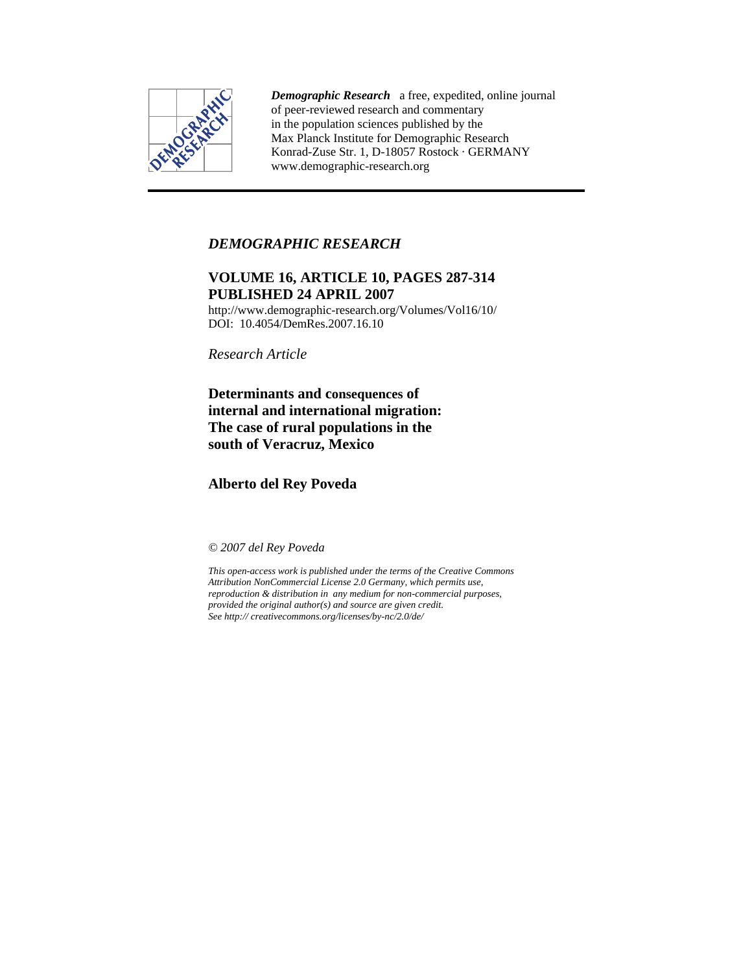

*Demographic Research* a free, expedited, online journal of peer-reviewed research and commentary in the population sciences published by the Max Planck Institute for Demographic Research Konrad-Zuse Str. 1, D-18057 Rostock · GERMANY www.demographic-research.org

# *DEMOGRAPHIC RESEARCH*

# **VOLUME 16, ARTICLE 10, PAGES 287-314 PUBLISHED 24 APRIL 2007**

http://www.demographic-research.org/Volumes/Vol16/10/ DOI: 10.4054/DemRes. 2007.16.10

*Research Article* 

**Determinants and consequences of internal and international migration: The case of rural populations in the south of Veracruz, Mexico** 

**Alberto del Rey Poveda** 

*© 2007 del Rey Poveda* 

*This open-access work is published under the terms of the Creative Commons Attribution NonCommercial License 2.0 Germany, which permits use, reproduction & distribution in any medium for non-commercial purposes, provided the original author(s) and source are given credit. See http:// creativecommons.org/licenses/by-nc/2.0/de/*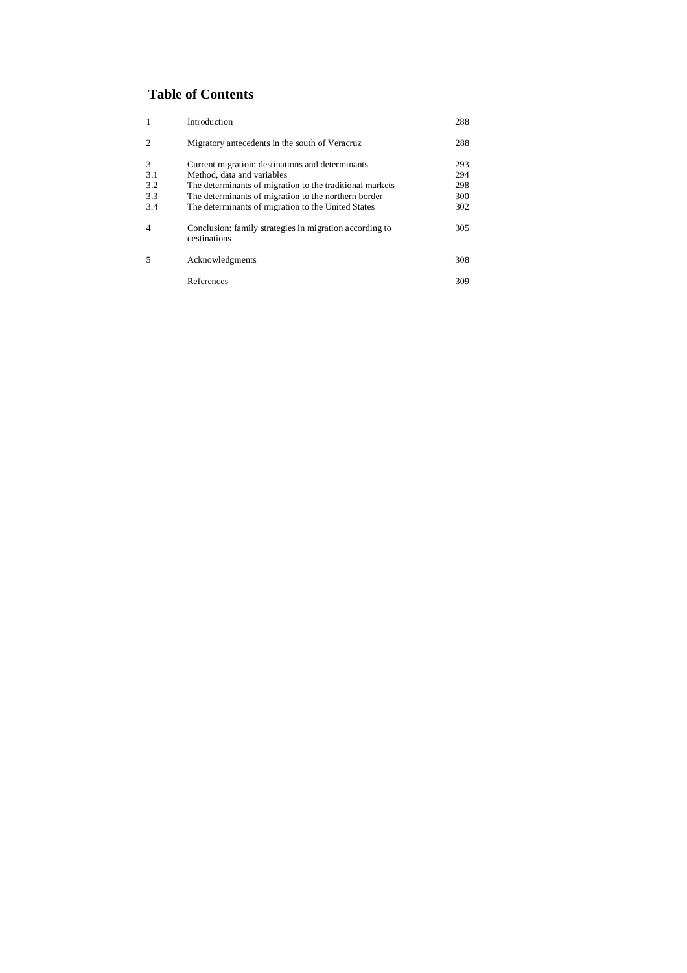# **Table of Contents**

| $\mathbf{1}$   | Introduction                                                            | 288 |
|----------------|-------------------------------------------------------------------------|-----|
| $\overline{c}$ | Migratory antecedents in the south of Veracruz.                         | 288 |
| 3              | Current migration: destinations and determinants                        | 293 |
| 3.1            | Method, data and variables                                              | 294 |
| 3.2            | The determinants of migration to the traditional markets                | 298 |
| 3.3            | The determinants of migration to the northern border                    | 300 |
| 3.4            | The determinants of migration to the United States                      | 302 |
| $\overline{4}$ | Conclusion: family strategies in migration according to<br>destinations | 305 |
| 5              | Acknowledgments                                                         | 308 |
|                | References                                                              | 309 |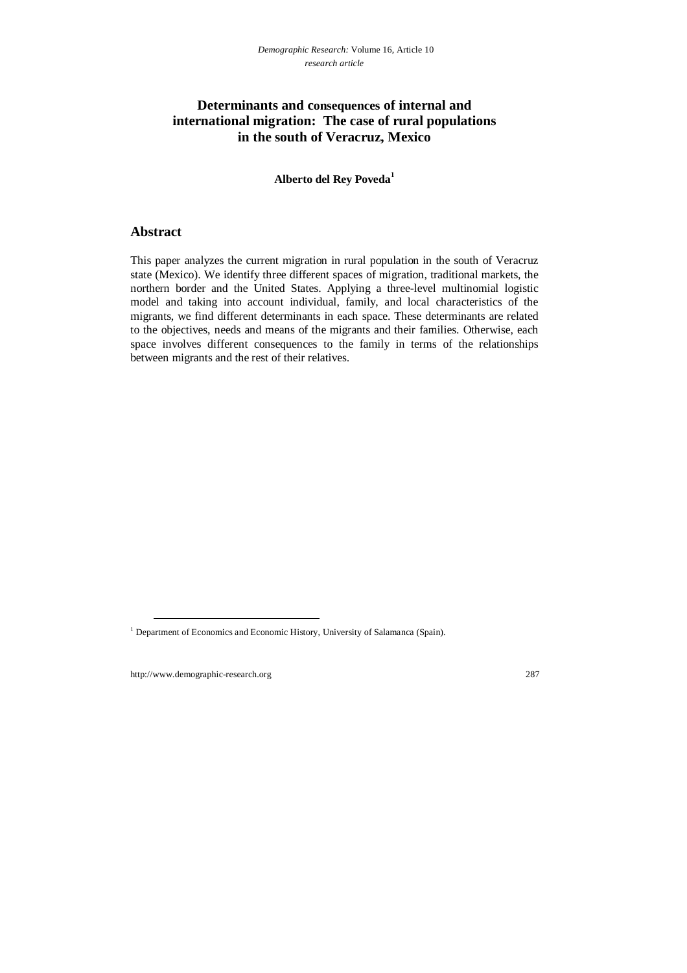# **Determinants and consequences of internal and international migration: The case of rural populations in the south of Veracruz, Mexico**

## **Alberto del Rey Poveda1**

## **Abstract**

This paper analyzes the current migration in rural population in the south of Veracruz state (Mexico). We identify three different spaces of migration, traditional markets, the northern border and the United States. Applying a three-level multinomial logistic model and taking into account individual, family, and local characteristics of the migrants, we find different determinants in each space. These determinants are related to the objectives, needs and means of the migrants and their families. Otherwise, each space involves different consequences to the family in terms of the relationships between migrants and the rest of their relatives.

<sup>&</sup>lt;sup>1</sup> Department of Economics and Economic History, University of Salamanca (Spain).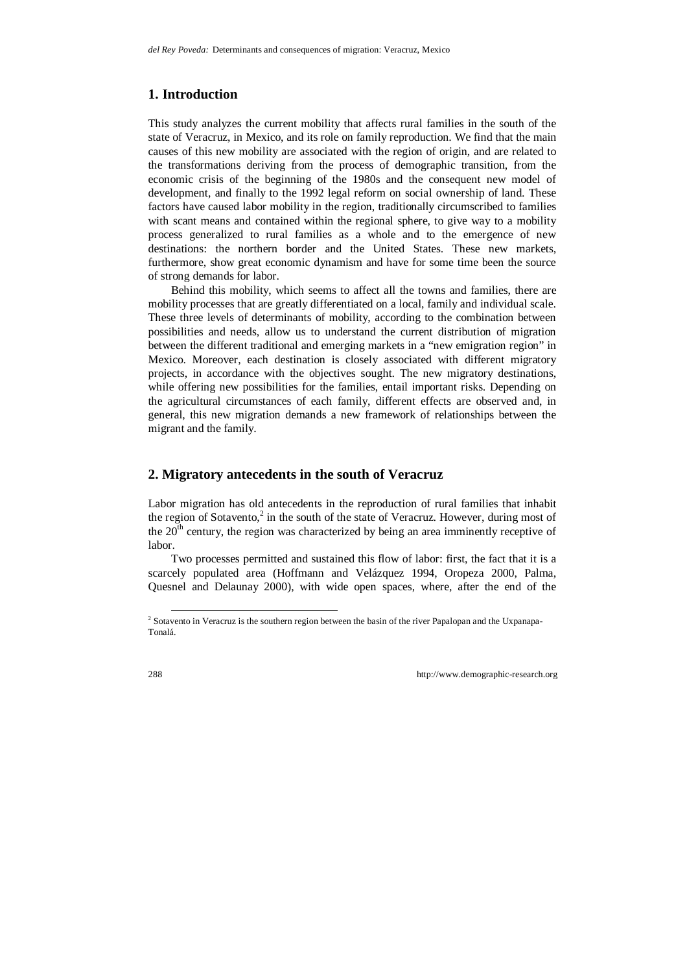# **1. Introduction**

This study analyzes the current mobility that affects rural families in the south of the state of Veracruz, in Mexico, and its role on family reproduction. We find that the main causes of this new mobility are associated with the region of origin, and are related to the transformations deriving from the process of demographic transition, from the economic crisis of the beginning of the 1980s and the consequent new model of development, and finally to the 1992 legal reform on social ownership of land. These factors have caused labor mobility in the region, traditionally circumscribed to families with scant means and contained within the regional sphere, to give way to a mobility process generalized to rural families as a whole and to the emergence of new destinations: the northern border and the United States. These new markets, furthermore, show great economic dynamism and have for some time been the source of strong demands for labor.

Behind this mobility, which seems to affect all the towns and families, there are mobility processes that are greatly differentiated on a local, family and individual scale. These three levels of determinants of mobility, according to the combination between possibilities and needs, allow us to understand the current distribution of migration between the different traditional and emerging markets in a "new emigration region" in Mexico. Moreover, each destination is closely associated with different migratory projects, in accordance with the objectives sought. The new migratory destinations, while offering new possibilities for the families, entail important risks. Depending on the agricultural circumstances of each family, different effects are observed and, in general, this new migration demands a new framework of relationships between the migrant and the family.

# **2. Migratory antecedents in the south of Veracruz**

Labor migration has old antecedents in the reproduction of rural families that inhabit the region of Sotavento, $2$  in the south of the state of Veracruz. However, during most of the  $20<sup>th</sup>$  century, the region was characterized by being an area imminently receptive of labor.

Two processes permitted and sustained this flow of labor: first, the fact that it is a scarcely populated area (Hoffmann and Velázquez 1994, Oropeza 2000, Palma, Quesnel and Delaunay 2000), with wide open spaces, where, after the end of the

 <sup>2</sup> Sotavento in Veracruz is the southern region between the basin of the river Papalopan and the Uxpanapa-Tonalá.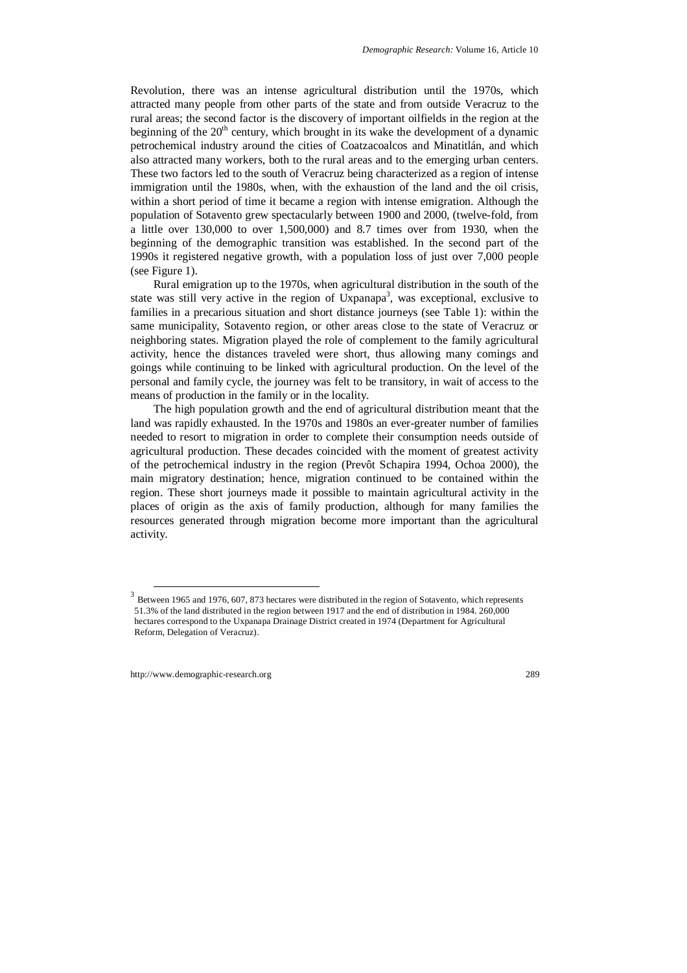Revolution, there was an intense agricultural distribution until the 1970s, which attracted many people from other parts of the state and from outside Veracruz to the rural areas; the second factor is the discovery of important oilfields in the region at the beginning of the  $20<sup>th</sup>$  century, which brought in its wake the development of a dynamic petrochemical industry around the cities of Coatzacoalcos and Minatitlán, and which also attracted many workers, both to the rural areas and to the emerging urban centers. These two factors led to the south of Veracruz being characterized as a region of intense immigration until the 1980s, when, with the exhaustion of the land and the oil crisis, within a short period of time it became a region with intense emigration. Although the population of Sotavento grew spectacularly between 1900 and 2000, (twelve-fold, from a little over 130,000 to over 1,500,000) and 8.7 times over from 1930, when the beginning of the demographic transition was established. In the second part of the 1990s it registered negative growth, with a population loss of just over 7,000 people (see Figure 1).

Rural emigration up to the 1970s, when agricultural distribution in the south of the state was still very active in the region of Uxpanapa<sup>3</sup>, was exceptional, exclusive to families in a precarious situation and short distance journeys (see Table 1): within the same municipality, Sotavento region, or other areas close to the state of Veracruz or neighboring states. Migration played the role of complement to the family agricultural activity, hence the distances traveled were short, thus allowing many comings and goings while continuing to be linked with agricultural production. On the level of the personal and family cycle, the journey was felt to be transitory, in wait of access to the means of production in the family or in the locality.

The high population growth and the end of agricultural distribution meant that the land was rapidly exhausted. In the 1970s and 1980s an ever-greater number of families needed to resort to migration in order to complete their consumption needs outside of agricultural production. These decades coincided with the moment of greatest activity of the petrochemical industry in the region (Prevôt Schapira 1994, Ochoa 2000), the main migratory destination; hence, migration continued to be contained within the region. These short journeys made it possible to maintain agricultural activity in the places of origin as the axis of family production, although for many families the resources generated through migration become more important than the agricultural activity.

<sup>&</sup>lt;sup>3</sup> Between 1965 and 1976, 607, 873 hectares were distributed in the region of Sotavento, which represents 51.3% of the land distributed in the region between 1917 and the end of distribution in 1984. 260,000 hectares correspond to the Uxpanapa Drainage District created in 1974 (Department for Agricultural Reform, Delegation of Veracruz).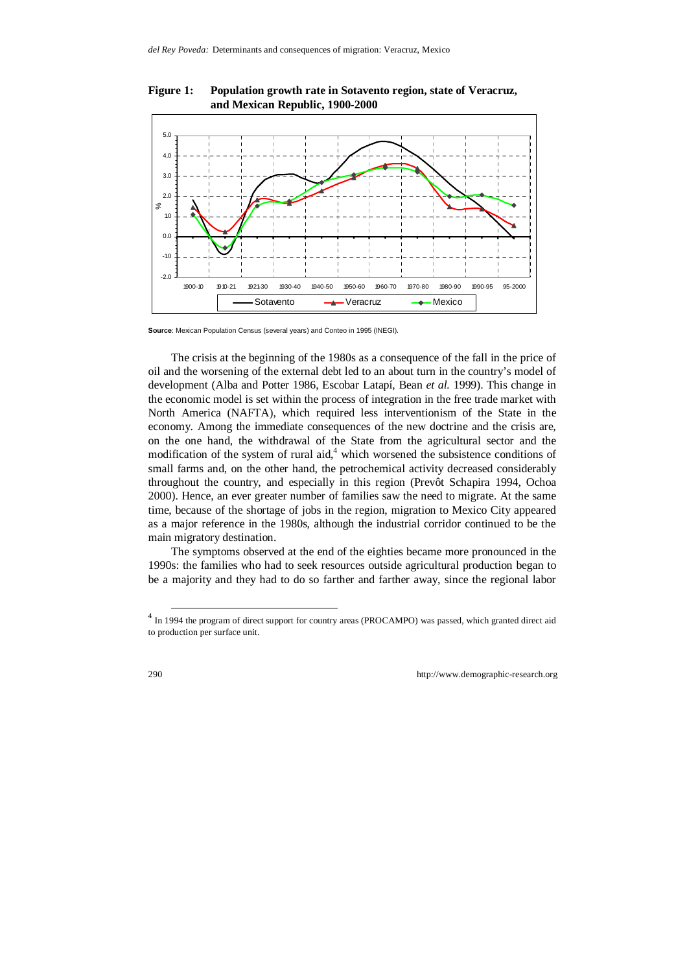

**Figure 1: Population growth rate in Sotavento region, state of Veracruz, and Mexican Republic, 1900-2000** 

**Source**: Mexican Population Census (several years) and Conteo in 1995 (INEGI).

The crisis at the beginning of the 1980s as a consequence of the fall in the price of oil and the worsening of the external debt led to an about turn in the country's model of development (Alba and Potter 1986, Escobar Latapí, Bean *et al.* 1999). This change in the economic model is set within the process of integration in the free trade market with North America (NAFTA), which required less interventionism of the State in the economy. Among the immediate consequences of the new doctrine and the crisis are, on the one hand, the withdrawal of the State from the agricultural sector and the modification of the system of rural aid, $4$  which worsened the subsistence conditions of small farms and, on the other hand, the petrochemical activity decreased considerably throughout the country, and especially in this region (Prevôt Schapira 1994, Ochoa 2000). Hence, an ever greater number of families saw the need to migrate. At the same time, because of the shortage of jobs in the region, migration to Mexico City appeared as a major reference in the 1980s, although the industrial corridor continued to be the main migratory destination.

The symptoms observed at the end of the eighties became more pronounced in the 1990s: the families who had to seek resources outside agricultural production began to be a majority and they had to do so farther and farther away, since the regional labor

<sup>&</sup>lt;sup>4</sup> In 1994 the program of direct support for country areas (PROCAMPO) was passed, which granted direct aid to production per surface unit.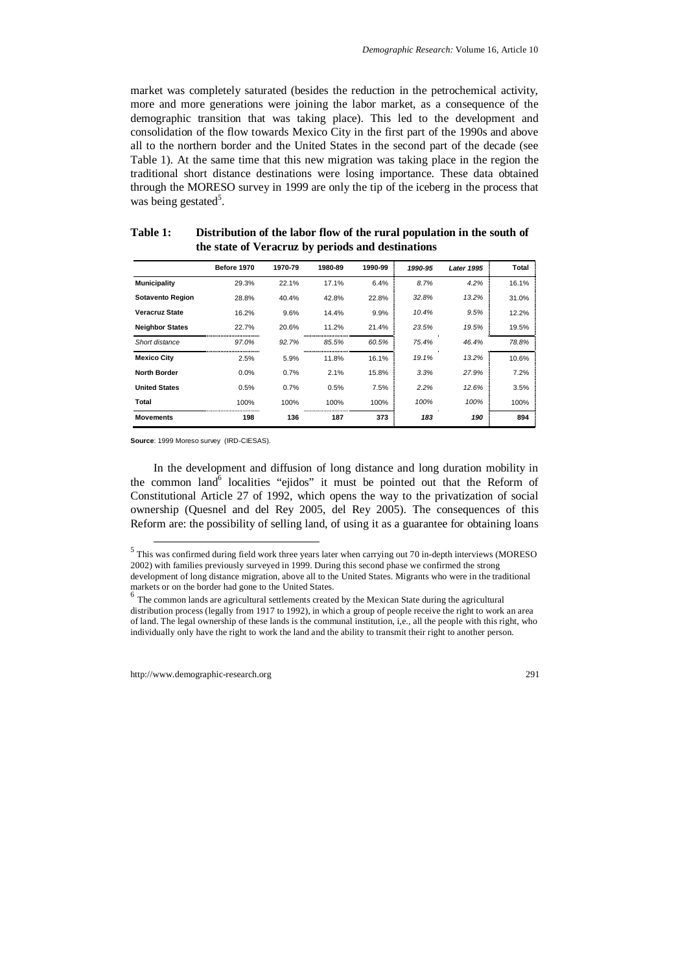market was completely saturated (besides the reduction in the petrochemical activity, more and more generations were joining the labor market, as a consequence of the demographic transition that was taking place). This led to the development and consolidation of the flow towards Mexico City in the first part of the 1990s and above all to the northern border and the United States in the second part of the decade (see Table 1). At the same time that this new migration was taking place in the region the traditional short distance destinations were losing importance. These data obtained through the MORESO survey in 1999 are only the tip of the iceberg in the process that was being gestated<sup>5</sup>.

|                         | Before 1970 | 1970-79 | 1980-89 | 1990-99 | 1990-95 | <b>Later 1995</b> | Total |
|-------------------------|-------------|---------|---------|---------|---------|-------------------|-------|
| <b>Municipality</b>     | 29.3%       | 22.1%   | 17.1%   | 6.4%    | 8.7%    | 4.2%              | 16.1% |
| <b>Sotavento Region</b> | 28.8%       | 40.4%   | 42.8%   | 22.8%   | 32.8%   | 13.2%             | 31.0% |
| <b>Veracruz State</b>   | 16.2%       | 9.6%    | 14.4%   | 9.9%    | 10.4%   | 9.5%              | 12.2% |
| <b>Neighbor States</b>  | 22.7%       | 20.6%   | 11.2%   | 21.4%   | 23.5%   | 19.5%             | 19.5% |
| Short distance          | 97.0%       | 92.7%   | 85.5%   | 60.5%   | 75.4%   | 46.4%             | 78.8% |
| <b>Mexico City</b>      | 2.5%        | 5.9%    | 11.8%   | 16.1%   | 19.1%   | 13.2%             | 10.6% |
| <b>North Border</b>     | 0.0%        | 0.7%    | 2.1%    | 15.8%   | 3.3%    | 27.9%             | 7.2%  |
| <b>United States</b>    | 0.5%        | 0.7%    | 0.5%    | 7.5%    | 2.2%    | 12.6%             | 3.5%  |
| Total                   | 100%        | 100%    | 100%    | 100%    | 100%    | 100%              | 100%  |
| <b>Movements</b>        | 198         | 136     | 187     | 373     | 183     | 190               | 894   |

**Table 1: Distribution of the labor flow of the rural population in the south of the state of Veracruz by periods and destinations** 

**Source**: 1999 Moreso survey (IRD-CIESAS).

In the development and diffusion of long distance and long duration mobility in the common land<sup>6</sup> localities "ejidos" it must be pointed out that the Reform of Constitutional Article 27 of 1992, which opens the way to the privatization of social ownership (Quesnel and del Rey 2005, del Rey 2005). The consequences of this Reform are: the possibility of selling land, of using it as a guarantee for obtaining loans

 <sup>5</sup> This was confirmed during field work three years later when carrying out 70 in-depth interviews (MORESO 2002) with families previously surveyed in 1999. During this second phase we confirmed the strong development of long distance migration, above all to the United States. Migrants who were in the traditional markets or on the border had gone to the United States.

 $<sup>6</sup>$  The common lands are agricultural settlements created by the Mexican State during the agricultural</sup> distribution process (legally from 1917 to 1992), in which a group of people receive the right to work an area of land. The legal ownership of these lands is the communal institution, i,e., all the people with this right, who individually only have the right to work the land and the ability to transmit their right to another person.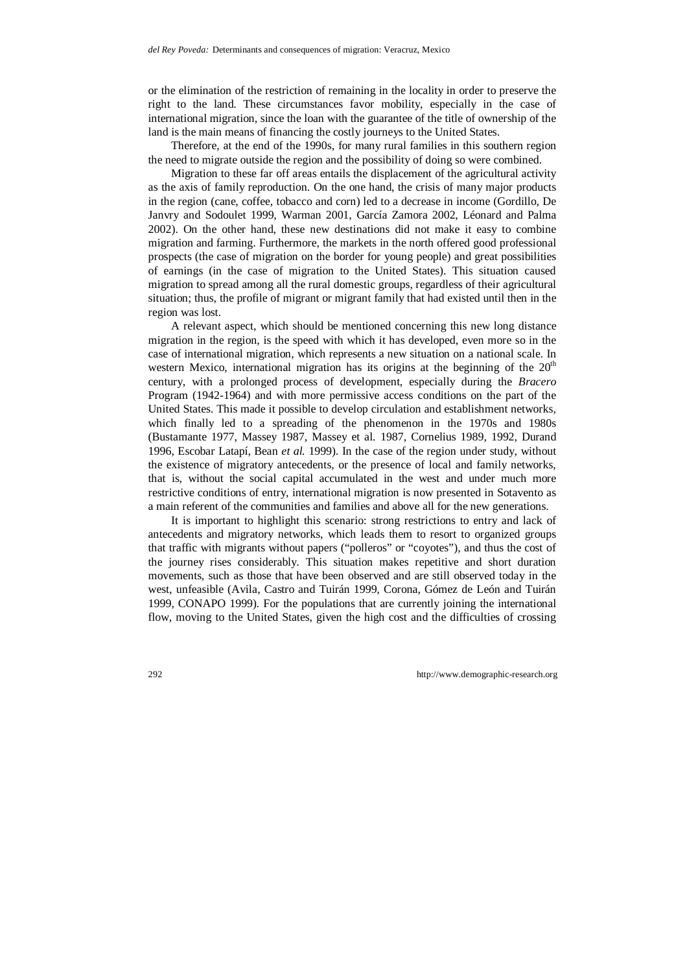or the elimination of the restriction of remaining in the locality in order to preserve the right to the land. These circumstances favor mobility, especially in the case of international migration, since the loan with the guarantee of the title of ownership of the land is the main means of financing the costly journeys to the United States.

Therefore, at the end of the 1990s, for many rural families in this southern region the need to migrate outside the region and the possibility of doing so were combined.

Migration to these far off areas entails the displacement of the agricultural activity as the axis of family reproduction. On the one hand, the crisis of many major products in the region (cane, coffee, tobacco and corn) led to a decrease in income (Gordillo, De Janvry and Sodoulet 1999, Warman 2001, García Zamora 2002, Léonard and Palma 2002). On the other hand, these new destinations did not make it easy to combine migration and farming. Furthermore, the markets in the north offered good professional prospects (the case of migration on the border for young people) and great possibilities of earnings (in the case of migration to the United States). This situation caused migration to spread among all the rural domestic groups, regardless of their agricultural situation; thus, the profile of migrant or migrant family that had existed until then in the region was lost.

A relevant aspect, which should be mentioned concerning this new long distance migration in the region, is the speed with which it has developed, even more so in the case of international migration, which represents a new situation on a national scale. In western Mexico, international migration has its origins at the beginning of the  $20<sup>th</sup>$ century, with a prolonged process of development, especially during the *Bracero* Program (1942-1964) and with more permissive access conditions on the part of the United States. This made it possible to develop circulation and establishment networks, which finally led to a spreading of the phenomenon in the 1970s and 1980s (Bustamante 1977, Massey 1987, Massey et al*.* 1987, Cornelius 1989, 1992, Durand 1996, Escobar Latapí, Bean *et al.* 1999). In the case of the region under study, without the existence of migratory antecedents, or the presence of local and family networks, that is, without the social capital accumulated in the west and under much more restrictive conditions of entry, international migration is now presented in Sotavento as a main referent of the communities and families and above all for the new generations.

It is important to highlight this scenario: strong restrictions to entry and lack of antecedents and migratory networks, which leads them to resort to organized groups that traffic with migrants without papers ("polleros" or "coyotes"), and thus the cost of the journey rises considerably. This situation makes repetitive and short duration movements, such as those that have been observed and are still observed today in the west, unfeasible (Avila, Castro and Tuirán 1999, Corona, Gómez de León and Tuirán 1999, CONAPO 1999). For the populations that are currently joining the international flow, moving to the United States, given the high cost and the difficulties of crossing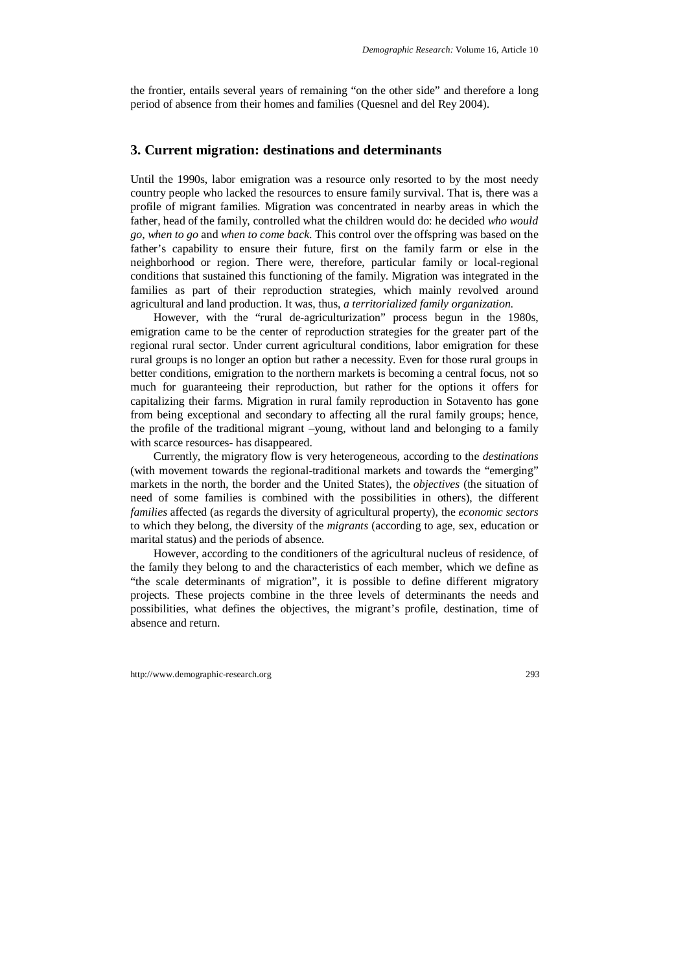the frontier, entails several years of remaining "on the other side" and therefore a long period of absence from their homes and families (Quesnel and del Rey 2004).

## **3. Current migration: destinations and determinants**

Until the 1990s, labor emigration was a resource only resorted to by the most needy country people who lacked the resources to ensure family survival. That is, there was a profile of migrant families. Migration was concentrated in nearby areas in which the father, head of the family, controlled what the children would do: he decided *who would go*, *when to go* and *when to come back*. This control over the offspring was based on the father's capability to ensure their future, first on the family farm or else in the neighborhood or region. There were, therefore, particular family or local-regional conditions that sustained this functioning of the family. Migration was integrated in the families as part of their reproduction strategies, which mainly revolved around agricultural and land production. It was, thus, *a territorialized family organization*.

However, with the "rural de-agriculturization" process begun in the 1980s, emigration came to be the center of reproduction strategies for the greater part of the regional rural sector. Under current agricultural conditions, labor emigration for these rural groups is no longer an option but rather a necessity. Even for those rural groups in better conditions, emigration to the northern markets is becoming a central focus, not so much for guaranteeing their reproduction, but rather for the options it offers for capitalizing their farms. Migration in rural family reproduction in Sotavento has gone from being exceptional and secondary to affecting all the rural family groups; hence, the profile of the traditional migrant –young, without land and belonging to a family with scarce resources- has disappeared.

Currently, the migratory flow is very heterogeneous, according to the *destinations* (with movement towards the regional-traditional markets and towards the "emerging" markets in the north, the border and the United States), the *objectives* (the situation of need of some families is combined with the possibilities in others), the different *families* affected (as regards the diversity of agricultural property), the *economic sectors* to which they belong, the diversity of the *migrants* (according to age, sex, education or marital status) and the periods of absence.

However, according to the conditioners of the agricultural nucleus of residence, of the family they belong to and the characteristics of each member, which we define as "the scale determinants of migration", it is possible to define different migratory projects. These projects combine in the three levels of determinants the needs and possibilities, what defines the objectives, the migrant's profile, destination, time of absence and return.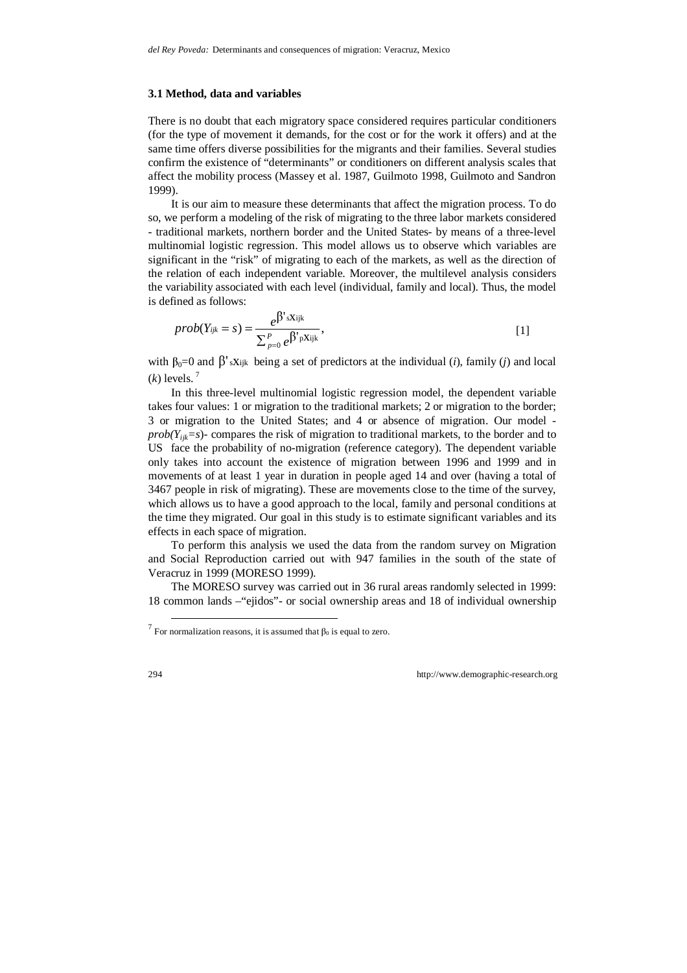#### **3.1 Method, data and variables**

There is no doubt that each migratory space considered requires particular conditioners (for the type of movement it demands, for the cost or for the work it offers) and at the same time offers diverse possibilities for the migrants and their families. Several studies confirm the existence of "determinants" or conditioners on different analysis scales that affect the mobility process (Massey et al. 1987, Guilmoto 1998, Guilmoto and Sandron 1999).

It is our aim to measure these determinants that affect the migration process. To do so, we perform a modeling of the risk of migrating to the three labor markets considered - traditional markets, northern border and the United States- by means of a three-level multinomial logistic regression. This model allows us to observe which variables are significant in the "risk" of migrating to each of the markets, as well as the direction of the relation of each independent variable. Moreover, the multilevel analysis considers the variability associated with each level (individual, family and local). Thus, the model is defined as follows:

$$
prob(Y_{ijk}=s) = \frac{e^{\beta' s X_{ijk}}}{\sum_{p=0}^{P} e^{\beta' p X_{ijk}}},
$$
\n[1]

with  $\beta_0 = 0$  and  $\beta'$  sx<sub>ijk</sub> being a set of predictors at the individual (*i*), family (*j*) and local  $(k)$  levels.<sup>7</sup>

In this three-level multinomial logistic regression model, the dependent variable takes four values: 1 or migration to the traditional markets; 2 or migration to the border; 3 or migration to the United States; and 4 or absence of migration. Our model *prob(Yijk=s*)- compares the risk of migration to traditional markets, to the border and to US face the probability of no-migration (reference category). The dependent variable only takes into account the existence of migration between 1996 and 1999 and in movements of at least 1 year in duration in people aged 14 and over (having a total of 3467 people in risk of migrating). These are movements close to the time of the survey, which allows us to have a good approach to the local, family and personal conditions at the time they migrated. Our goal in this study is to estimate significant variables and its effects in each space of migration.

To perform this analysis we used the data from the random survey on Migration and Social Reproduction carried out with 947 families in the south of the state of Veracruz in 1999 (MORESO 1999).

The MORESO survey was carried out in 36 rural areas randomly selected in 1999: 18 common lands –"ejidos"- or social ownership areas and 18 of individual ownership

 $\overline{a}$  For normalization reasons, it is assumed that β<sub>0</sub> is equal to zero.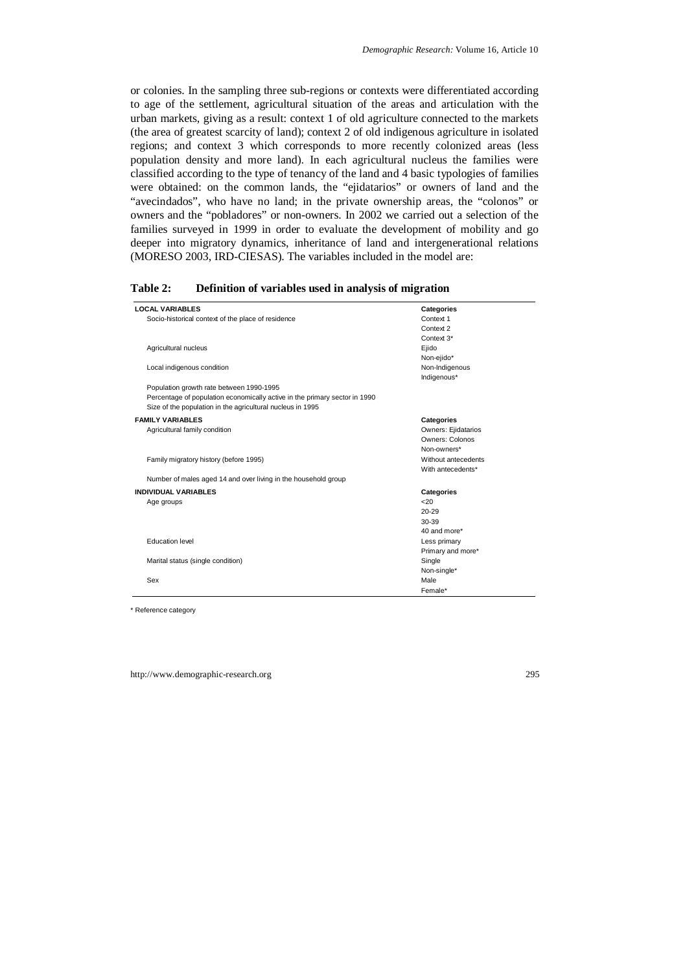or colonies. In the sampling three sub-regions or contexts were differentiated according to age of the settlement, agricultural situation of the areas and articulation with the urban markets, giving as a result: context 1 of old agriculture connected to the markets (the area of greatest scarcity of land); context 2 of old indigenous agriculture in isolated regions; and context 3 which corresponds to more recently colonized areas (less population density and more land). In each agricultural nucleus the families were classified according to the type of tenancy of the land and 4 basic typologies of families were obtained: on the common lands, the "ejidatarios" or owners of land and the "avecindados", who have no land; in the private ownership areas, the "colonos" or owners and the "pobladores" or non-owners. In 2002 we carried out a selection of the families surveyed in 1999 in order to evaluate the development of mobility and go deeper into migratory dynamics, inheritance of land and intergenerational relations (MORESO 2003, IRD-CIESAS). The variables included in the model are:

| <b>LOCAL VARIABLES</b>                                                     | <b>Categories</b>   |
|----------------------------------------------------------------------------|---------------------|
| Socio-historical context of the place of residence                         | Context 1           |
|                                                                            | Context 2           |
|                                                                            | Context 3*          |
| Agricultural nucleus                                                       | Ejido               |
|                                                                            | Non-ejido*          |
| Local indigenous condition                                                 | Non-Indigenous      |
|                                                                            | Indigenous*         |
| Population growth rate between 1990-1995                                   |                     |
| Percentage of population economically active in the primary sector in 1990 |                     |
| Size of the population in the agricultural nucleus in 1995                 |                     |
| <b>FAMILY VARIABLES</b>                                                    | <b>Categories</b>   |
| Agricultural family condition                                              | Owners: Ejidatarios |
|                                                                            | Owners: Colonos     |
|                                                                            | Non-owners*         |
| Family migratory history (before 1995)                                     | Without antecedents |
|                                                                            | With antecedents*   |
| Number of males aged 14 and over living in the household group             |                     |
| <b>INDIVIDUAL VARIABLES</b>                                                | <b>Categories</b>   |
| Age groups                                                                 | 20                  |
|                                                                            | $20 - 29$           |
|                                                                            | 30-39               |
|                                                                            | 40 and more*        |
| Education level                                                            | Less primary        |
|                                                                            | Primary and more*   |
| Marital status (single condition)                                          | Single              |
|                                                                            | Non-single*         |
| Sex                                                                        | Male                |
|                                                                            | Female*             |

| Table 2: | Definition of variables used in analysis of migration |  |  |  |  |
|----------|-------------------------------------------------------|--|--|--|--|
|----------|-------------------------------------------------------|--|--|--|--|

\* Reference category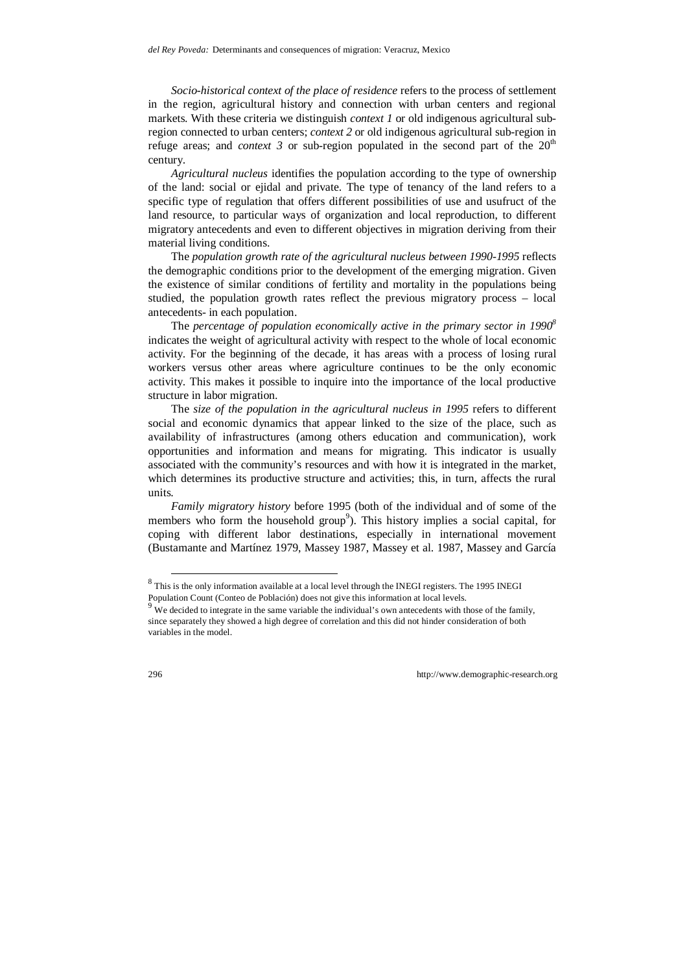*Socio-historical context of the place of residence* refers to the process of settlement in the region, agricultural history and connection with urban centers and regional markets. With these criteria we distinguish *context 1* or old indigenous agricultural subregion connected to urban centers; *context 2* or old indigenous agricultural sub-region in refuge areas; and *context 3* or sub-region populated in the second part of the  $20<sup>th</sup>$ century.

*Agricultural nucleus* identifies the population according to the type of ownership of the land: social or ejidal and private. The type of tenancy of the land refers to a specific type of regulation that offers different possibilities of use and usufruct of the land resource, to particular ways of organization and local reproduction, to different migratory antecedents and even to different objectives in migration deriving from their material living conditions.

The *population growth rate of the agricultural nucleus between 1990-1995* reflects the demographic conditions prior to the development of the emerging migration. Given the existence of similar conditions of fertility and mortality in the populations being studied, the population growth rates reflect the previous migratory process – local antecedents- in each population.

The *percentage of population economically active in the primary sector in 19908* indicates the weight of agricultural activity with respect to the whole of local economic activity. For the beginning of the decade, it has areas with a process of losing rural workers versus other areas where agriculture continues to be the only economic activity. This makes it possible to inquire into the importance of the local productive structure in labor migration.

The *size of the population in the agricultural nucleus in 1995* refers to different social and economic dynamics that appear linked to the size of the place, such as availability of infrastructures (among others education and communication), work opportunities and information and means for migrating. This indicator is usually associated with the community's resources and with how it is integrated in the market, which determines its productive structure and activities; this, in turn, affects the rural units.

*Family migratory history* before 1995 (both of the individual and of some of the members who form the household group<sup>9</sup>). This history implies a social capital, for coping with different labor destinations, especially in international movement (Bustamante and Martínez 1979, Massey 1987, Massey et al. 1987, Massey and García

 <sup>8</sup> This is the only information available at a local level through the INEGI registers. The 1995 INEGI Population Count (Conteo de Población) does not give this information at local levels.

 $9$  We decided to integrate in the same variable the individual's own antecedents with those of the family, since separately they showed a high degree of correlation and this did not hinder consideration of both variables in the model.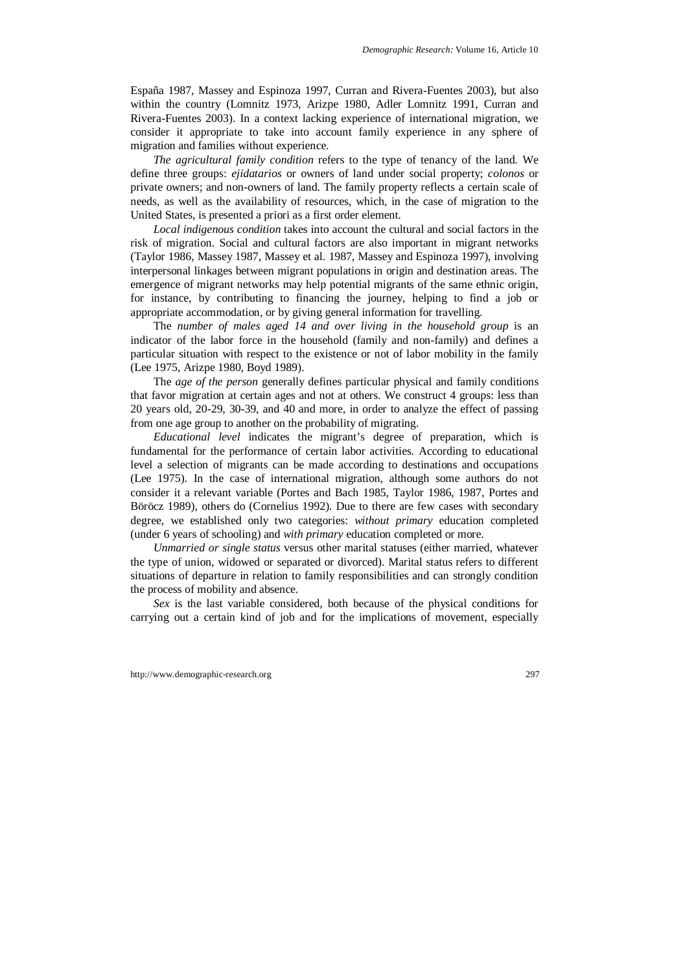España 1987, Massey and Espinoza 1997, Curran and Rivera-Fuentes 2003), but also within the country (Lomnitz 1973, Arizpe 1980, Adler Lomnitz 1991, Curran and Rivera-Fuentes 2003). In a context lacking experience of international migration, we consider it appropriate to take into account family experience in any sphere of migration and families without experience.

*The agricultural family condition* refers to the type of tenancy of the land. We define three groups: *ejidatarios* or owners of land under social property; *colonos* or private owners; and non-owners of land. The family property reflects a certain scale of needs, as well as the availability of resources, which, in the case of migration to the United States, is presented a priori as a first order element.

*Local indigenous condition* takes into account the cultural and social factors in the risk of migration. Social and cultural factors are also important in migrant networks (Taylor 1986, Massey 1987, Massey et al*.* 1987, Massey and Espinoza 1997), involving interpersonal linkages between migrant populations in origin and destination areas. The emergence of migrant networks may help potential migrants of the same ethnic origin, for instance, by contributing to financing the journey, helping to find a job or appropriate accommodation, or by giving general information for travelling.

The *number of males aged 14 and over living in the household group* is an indicator of the labor force in the household (family and non-family) and defines a particular situation with respect to the existence or not of labor mobility in the family (Lee 1975, Arizpe 1980, Boyd 1989).

The *age of the person* generally defines particular physical and family conditions that favor migration at certain ages and not at others. We construct 4 groups: less than 20 years old, 20-29, 30-39, and 40 and more, in order to analyze the effect of passing from one age group to another on the probability of migrating.

*Educational level* indicates the migrant's degree of preparation, which is fundamental for the performance of certain labor activities. According to educational level a selection of migrants can be made according to destinations and occupations (Lee 1975). In the case of international migration, although some authors do not consider it a relevant variable (Portes and Bach 1985, Taylor 1986, 1987, Portes and Böröcz 1989), others do (Cornelius 1992). Due to there are few cases with secondary degree, we established only two categories: *without primary* education completed (under 6 years of schooling) and *with primary* education completed or more.

*Unmarried or single status* versus other marital statuses (either married, whatever the type of union, widowed or separated or divorced). Marital status refers to different situations of departure in relation to family responsibilities and can strongly condition the process of mobility and absence.

*Sex* is the last variable considered, both because of the physical conditions for carrying out a certain kind of job and for the implications of movement, especially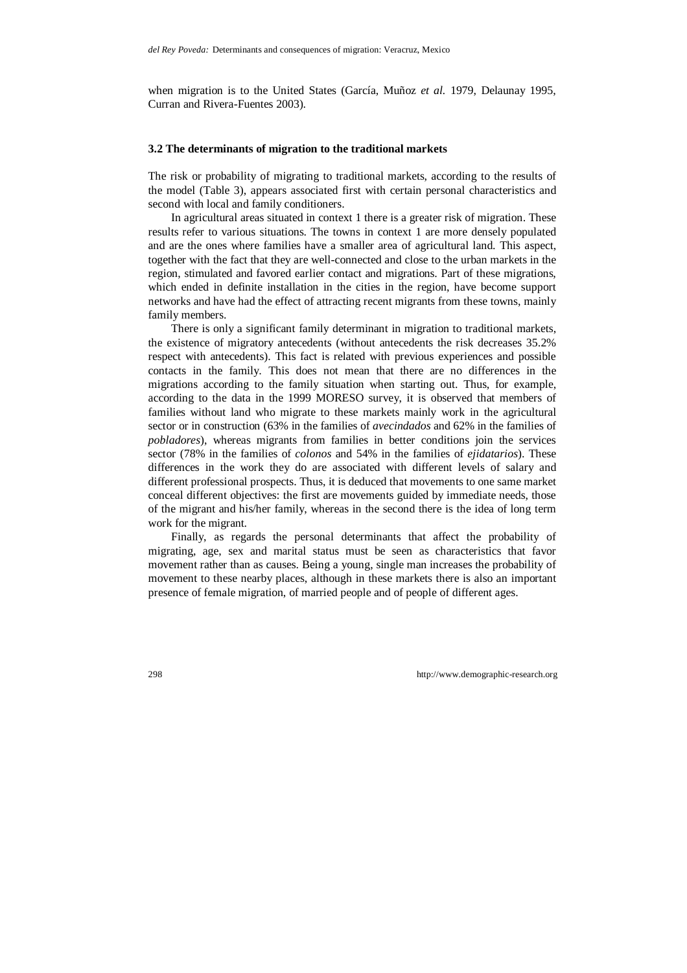when migration is to the United States (García, Muñoz *et al.* 1979, Delaunay 1995, Curran and Rivera-Fuentes 2003).

#### **3.2 The determinants of migration to the traditional markets**

The risk or probability of migrating to traditional markets, according to the results of the model (Table 3), appears associated first with certain personal characteristics and second with local and family conditioners.

In agricultural areas situated in context 1 there is a greater risk of migration. These results refer to various situations. The towns in context 1 are more densely populated and are the ones where families have a smaller area of agricultural land. This aspect, together with the fact that they are well-connected and close to the urban markets in the region, stimulated and favored earlier contact and migrations. Part of these migrations, which ended in definite installation in the cities in the region, have become support networks and have had the effect of attracting recent migrants from these towns, mainly family members.

There is only a significant family determinant in migration to traditional markets, the existence of migratory antecedents (without antecedents the risk decreases 35.2% respect with antecedents). This fact is related with previous experiences and possible contacts in the family. This does not mean that there are no differences in the migrations according to the family situation when starting out. Thus, for example, according to the data in the 1999 MORESO survey, it is observed that members of families without land who migrate to these markets mainly work in the agricultural sector or in construction (63% in the families of *avecindados* and 62% in the families of *pobladores*), whereas migrants from families in better conditions join the services sector (78% in the families of *colonos* and 54% in the families of *ejidatarios*). These differences in the work they do are associated with different levels of salary and different professional prospects. Thus, it is deduced that movements to one same market conceal different objectives: the first are movements guided by immediate needs, those of the migrant and his/her family, whereas in the second there is the idea of long term work for the migrant.

Finally, as regards the personal determinants that affect the probability of migrating, age, sex and marital status must be seen as characteristics that favor movement rather than as causes. Being a young, single man increases the probability of movement to these nearby places, although in these markets there is also an important presence of female migration, of married people and of people of different ages.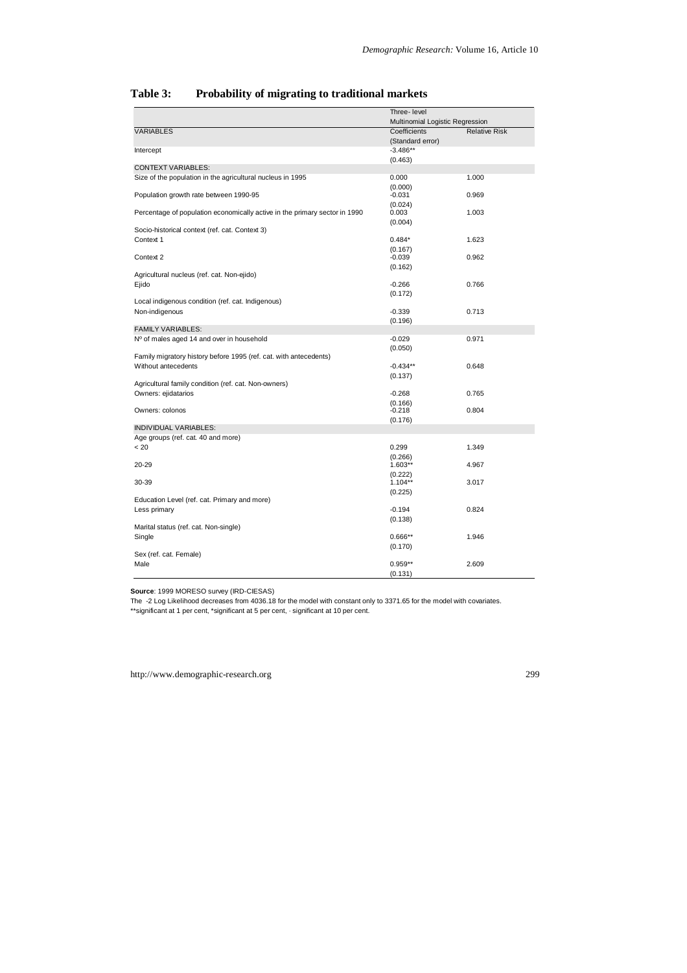|                                                                            | Three-level                     |                      |
|----------------------------------------------------------------------------|---------------------------------|----------------------|
|                                                                            | Multinomial Logistic Regression |                      |
| <b>VARIABLES</b>                                                           | Coefficients                    | <b>Relative Risk</b> |
|                                                                            | (Standard error)                |                      |
| Intercept                                                                  | $-3.486**$                      |                      |
|                                                                            | (0.463)                         |                      |
| <b>CONTEXT VARIABLES:</b>                                                  |                                 |                      |
| Size of the population in the agricultural nucleus in 1995                 | 0.000                           | 1.000                |
|                                                                            | (0.000)                         |                      |
| Population growth rate between 1990-95                                     | $-0.031$                        | 0.969                |
|                                                                            | (0.024)                         |                      |
| Percentage of population economically active in the primary sector in 1990 | 0.003                           | 1.003                |
| Socio-historical context (ref. cat. Context 3)                             | (0.004)                         |                      |
| Context 1                                                                  | $0.484*$                        | 1.623                |
|                                                                            |                                 |                      |
| Context 2                                                                  | (0.167)<br>$-0.039$             | 0.962                |
|                                                                            | (0.162)                         |                      |
| Agricultural nucleus (ref. cat. Non-ejido)                                 |                                 |                      |
| Ejido                                                                      | $-0.266$                        | 0.766                |
|                                                                            | (0.172)                         |                      |
| Local indigenous condition (ref. cat. Indigenous)                          |                                 |                      |
| Non-indigenous                                                             | $-0.339$                        | 0.713                |
|                                                                            | (0.196)                         |                      |
| <b>FAMILY VARIABLES:</b>                                                   |                                 |                      |
| Nº of males aged 14 and over in household                                  | $-0.029$                        | 0.971                |
|                                                                            | (0.050)                         |                      |
| Family migratory history before 1995 (ref. cat. with antecedents)          |                                 |                      |
| Without antecedents                                                        | $-0.434**$                      | 0.648                |
|                                                                            | (0.137)                         |                      |
| Agricultural family condition (ref. cat. Non-owners)                       |                                 |                      |
| Owners: ejidatarios                                                        | $-0.268$                        | 0.765                |
|                                                                            | (0.166)                         |                      |
| Owners: colonos                                                            | $-0.218$                        | 0.804                |
| INDIVIDUAL VARIABLES:                                                      | (0.176)                         |                      |
| Age groups (ref. cat. 40 and more)                                         |                                 |                      |
| < 20                                                                       | 0.299                           | 1.349                |
|                                                                            |                                 |                      |
| $20 - 29$                                                                  | (0.266)<br>$1.603**$            | 4.967                |
|                                                                            | (0.222)                         |                      |
| 30-39                                                                      | $1.104**$                       | 3.017                |
|                                                                            | (0.225)                         |                      |
| Education Level (ref. cat. Primary and more)                               |                                 |                      |
| Less primary                                                               | $-0.194$                        | 0.824                |
|                                                                            | (0.138)                         |                      |
| Marital status (ref. cat. Non-single)                                      |                                 |                      |
| Single                                                                     | $0.666**$                       | 1.946                |
|                                                                            | (0.170)                         |                      |
| Sex (ref. cat. Female)                                                     |                                 |                      |
| Male                                                                       | $0.959**$                       | 2.609                |
|                                                                            | (0.131)                         |                      |

### **Table 3: Probability of migrating to traditional markets**

**Source**: 1999 MORESO survey (IRD-CIESAS)

The -2 Log Likelihood decreases from 4036.18 for the model with constant only to 3371.65 for the model with covariates. \*\*significant at 1 per cent, \*significant at 5 per cent, · significant at 10 per cent.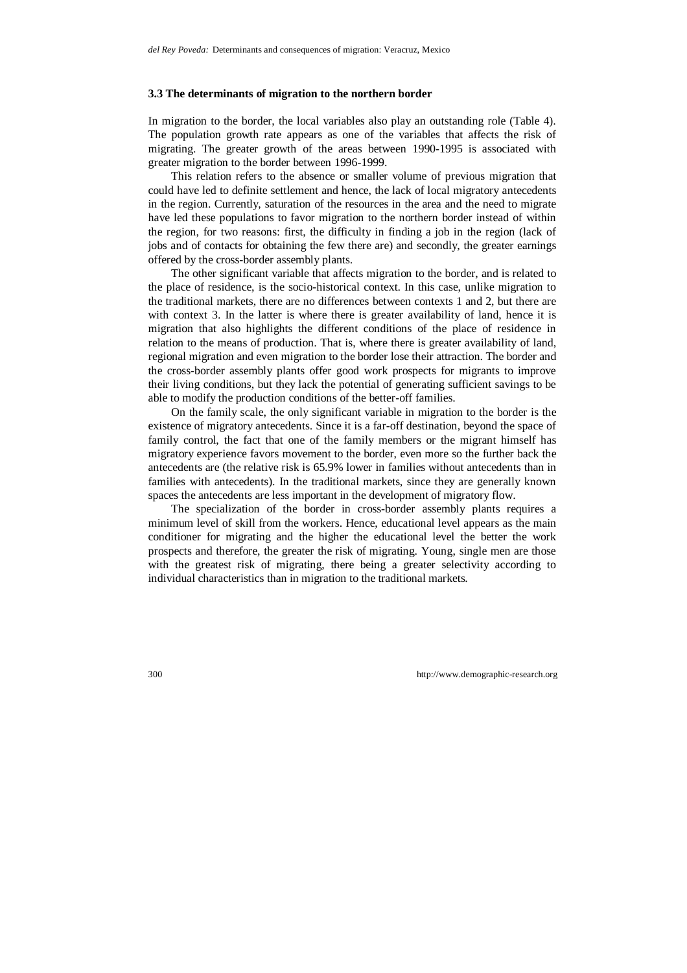#### **3.3 The determinants of migration to the northern border**

In migration to the border, the local variables also play an outstanding role (Table 4). The population growth rate appears as one of the variables that affects the risk of migrating. The greater growth of the areas between 1990-1995 is associated with greater migration to the border between 1996-1999.

This relation refers to the absence or smaller volume of previous migration that could have led to definite settlement and hence, the lack of local migratory antecedents in the region. Currently, saturation of the resources in the area and the need to migrate have led these populations to favor migration to the northern border instead of within the region, for two reasons: first, the difficulty in finding a job in the region (lack of jobs and of contacts for obtaining the few there are) and secondly, the greater earnings offered by the cross-border assembly plants.

The other significant variable that affects migration to the border, and is related to the place of residence, is the socio-historical context. In this case, unlike migration to the traditional markets, there are no differences between contexts 1 and 2, but there are with context 3. In the latter is where there is greater availability of land, hence it is migration that also highlights the different conditions of the place of residence in relation to the means of production. That is, where there is greater availability of land, regional migration and even migration to the border lose their attraction. The border and the cross-border assembly plants offer good work prospects for migrants to improve their living conditions, but they lack the potential of generating sufficient savings to be able to modify the production conditions of the better-off families.

On the family scale, the only significant variable in migration to the border is the existence of migratory antecedents. Since it is a far-off destination, beyond the space of family control, the fact that one of the family members or the migrant himself has migratory experience favors movement to the border, even more so the further back the antecedents are (the relative risk is 65.9% lower in families without antecedents than in families with antecedents). In the traditional markets, since they are generally known spaces the antecedents are less important in the development of migratory flow.

The specialization of the border in cross-border assembly plants requires a minimum level of skill from the workers. Hence, educational level appears as the main conditioner for migrating and the higher the educational level the better the work prospects and therefore, the greater the risk of migrating. Young, single men are those with the greatest risk of migrating, there being a greater selectivity according to individual characteristics than in migration to the traditional markets.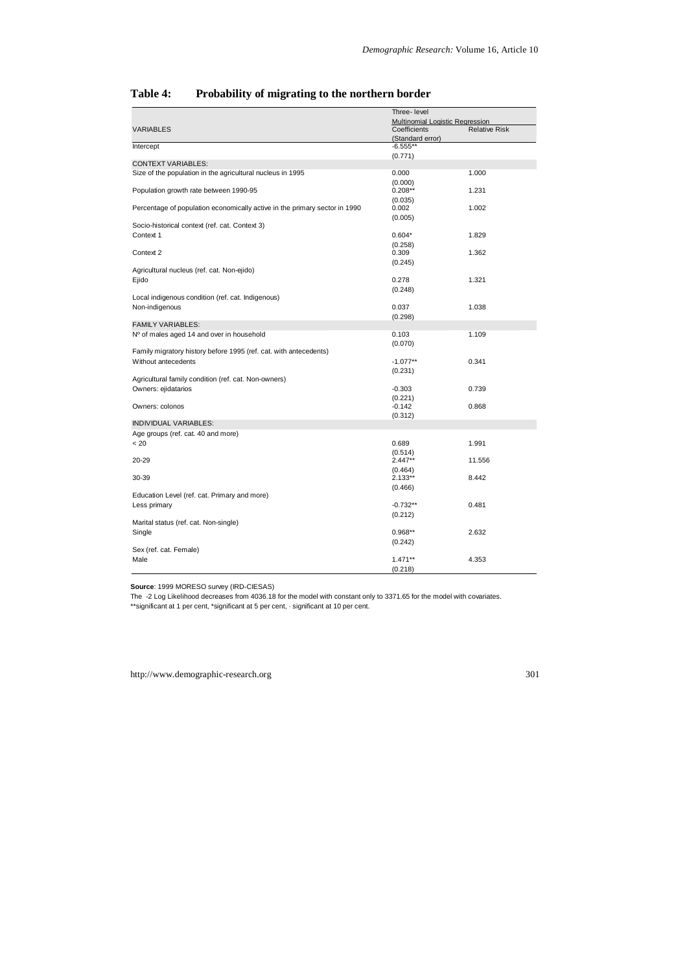|                                                                            | Three-level                     |                      |  |
|----------------------------------------------------------------------------|---------------------------------|----------------------|--|
|                                                                            | Multinomial Logistic Regression |                      |  |
| <b>VARIABLES</b>                                                           | Coefficients                    | <b>Relative Risk</b> |  |
|                                                                            | (Standard error)                |                      |  |
| Intercept                                                                  | $-6.555**$                      |                      |  |
|                                                                            | (0.771)                         |                      |  |
| <b>CONTEXT VARIABLES:</b>                                                  |                                 |                      |  |
| Size of the population in the agricultural nucleus in 1995                 | 0.000                           | 1.000                |  |
|                                                                            | (0.000)                         |                      |  |
| Population growth rate between 1990-95                                     | $0.208**$                       | 1.231                |  |
|                                                                            | (0.035)                         |                      |  |
| Percentage of population economically active in the primary sector in 1990 | 0.002                           | 1.002                |  |
|                                                                            | (0.005)                         |                      |  |
| Socio-historical context (ref. cat. Context 3)                             |                                 |                      |  |
| Context 1                                                                  | $0.604*$                        | 1.829                |  |
|                                                                            | (0.258)                         |                      |  |
| Context 2                                                                  | 0.309                           | 1.362                |  |
|                                                                            | (0.245)                         |                      |  |
| Agricultural nucleus (ref. cat. Non-ejido)                                 |                                 |                      |  |
| Ejido                                                                      | 0.278                           | 1.321                |  |
|                                                                            | (0.248)                         |                      |  |
| Local indigenous condition (ref. cat. Indigenous)                          |                                 |                      |  |
| Non-indigenous                                                             | 0.037                           | 1.038                |  |
| <b>FAMILY VARIABLES:</b>                                                   | (0.298)                         |                      |  |
|                                                                            |                                 |                      |  |
| Nº of males aged 14 and over in household                                  | 0.103                           | 1.109                |  |
| Family migratory history before 1995 (ref. cat. with antecedents)          | (0.070)                         |                      |  |
| Without antecedents                                                        |                                 | 0.341                |  |
|                                                                            | $-1.077**$                      |                      |  |
| Agricultural family condition (ref. cat. Non-owners)                       | (0.231)                         |                      |  |
| Owners: ejidatarios                                                        | $-0.303$                        | 0.739                |  |
|                                                                            | (0.221)                         |                      |  |
| Owners: colonos                                                            | $-0.142$                        | 0.868                |  |
|                                                                            | (0.312)                         |                      |  |
| <b>INDIVIDUAL VARIABLES:</b>                                               |                                 |                      |  |
| Age groups (ref. cat. 40 and more)                                         |                                 |                      |  |
| < 20                                                                       | 0.689                           | 1.991                |  |
|                                                                            | (0.514)                         |                      |  |
| 20-29                                                                      | $2.447**$                       | 11.556               |  |
|                                                                            | (0.464)                         |                      |  |
| 30-39                                                                      | $2.133**$                       | 8.442                |  |
|                                                                            | (0.466)                         |                      |  |
| Education Level (ref. cat. Primary and more)                               |                                 |                      |  |
| Less primary                                                               | $-0.732**$                      | 0.481                |  |
|                                                                            | (0.212)                         |                      |  |
| Marital status (ref. cat. Non-single)                                      |                                 |                      |  |
| Single                                                                     | $0.968**$                       | 2.632                |  |
|                                                                            | (0.242)                         |                      |  |
| Sex (ref. cat. Female)                                                     |                                 |                      |  |
| Male                                                                       | $1.471**$                       | 4.353                |  |
|                                                                            | (0.218)                         |                      |  |

### **Table 4: Probability of migrating to the northern border**

**Source**: 1999 MORESO survey (IRD-CIESAS)

The -2 Log Likelihood decreases from 4036.18 for the model with constant only to 3371.65 for the model with covariates.

\*\*significant at 1 per cent, \*significant at 5 per cent, · significant at 10 per cent.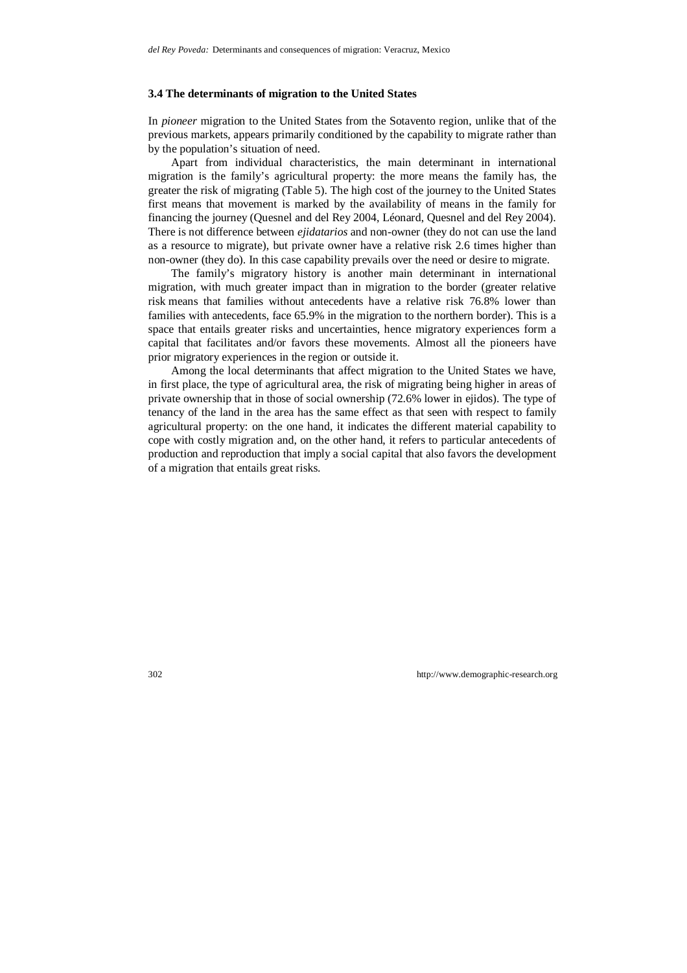#### **3.4 The determinants of migration to the United States**

In *pioneer* migration to the United States from the Sotavento region, unlike that of the previous markets, appears primarily conditioned by the capability to migrate rather than by the population's situation of need.

Apart from individual characteristics, the main determinant in international migration is the family's agricultural property: the more means the family has, the greater the risk of migrating (Table 5). The high cost of the journey to the United States first means that movement is marked by the availability of means in the family for financing the journey (Quesnel and del Rey 2004, Léonard, Quesnel and del Rey 2004). There is not difference between *ejidatarios* and non-owner (they do not can use the land as a resource to migrate), but private owner have a relative risk 2.6 times higher than non-owner (they do). In this case capability prevails over the need or desire to migrate.

The family's migratory history is another main determinant in international migration, with much greater impact than in migration to the border (greater relative risk means that families without antecedents have a relative risk 76.8% lower than families with antecedents, face 65.9% in the migration to the northern border). This is a space that entails greater risks and uncertainties, hence migratory experiences form a capital that facilitates and/or favors these movements. Almost all the pioneers have prior migratory experiences in the region or outside it.

Among the local determinants that affect migration to the United States we have, in first place, the type of agricultural area, the risk of migrating being higher in areas of private ownership that in those of social ownership (72.6% lower in ejidos). The type of tenancy of the land in the area has the same effect as that seen with respect to family agricultural property: on the one hand, it indicates the different material capability to cope with costly migration and, on the other hand, it refers to particular antecedents of production and reproduction that imply a social capital that also favors the development of a migration that entails great risks.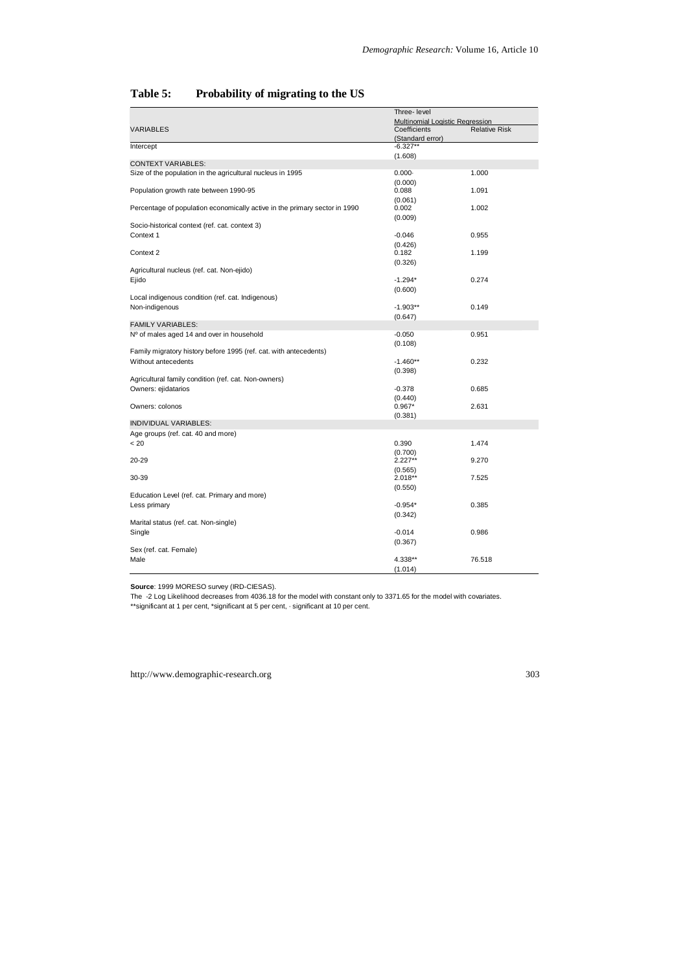|                                                                            | Three-level                     |                      |  |
|----------------------------------------------------------------------------|---------------------------------|----------------------|--|
|                                                                            | Multinomial Logistic Regression |                      |  |
| <b>VARIABLES</b>                                                           | Coefficients                    | <b>Relative Risk</b> |  |
|                                                                            | (Standard error)                |                      |  |
| Intercept                                                                  | $-6.327**$                      |                      |  |
|                                                                            | (1.608)                         |                      |  |
| <b>CONTEXT VARIABLES:</b>                                                  |                                 |                      |  |
| Size of the population in the agricultural nucleus in 1995                 | $0.000 -$                       | 1.000                |  |
|                                                                            | (0.000)                         |                      |  |
| Population growth rate between 1990-95                                     | 0.088                           | 1.091                |  |
| Percentage of population economically active in the primary sector in 1990 | (0.061)<br>0.002                | 1.002                |  |
|                                                                            |                                 |                      |  |
| Socio-historical context (ref. cat. context 3)                             | (0.009)                         |                      |  |
| Context 1                                                                  | $-0.046$                        | 0.955                |  |
|                                                                            | (0.426)                         |                      |  |
| Context 2                                                                  | 0.182                           | 1.199                |  |
|                                                                            | (0.326)                         |                      |  |
| Agricultural nucleus (ref. cat. Non-ejido)                                 |                                 |                      |  |
| Ejido                                                                      | $-1.294*$                       | 0.274                |  |
|                                                                            | (0.600)                         |                      |  |
| Local indigenous condition (ref. cat. Indigenous)                          |                                 |                      |  |
| Non-indigenous                                                             | $-1.903**$                      | 0.149                |  |
|                                                                            | (0.647)                         |                      |  |
| <b>FAMILY VARIABLES:</b>                                                   |                                 |                      |  |
| Nº of males aged 14 and over in household                                  | $-0.050$                        | 0.951                |  |
|                                                                            | (0.108)                         |                      |  |
| Family migratory history before 1995 (ref. cat. with antecedents)          |                                 |                      |  |
| Without antecedents                                                        | $-1.460**$                      | 0.232                |  |
|                                                                            | (0.398)                         |                      |  |
| Agricultural family condition (ref. cat. Non-owners)                       |                                 |                      |  |
| Owners: ejidatarios                                                        | $-0.378$                        | 0.685                |  |
|                                                                            | (0.440)                         |                      |  |
| Owners: colonos                                                            | $0.967*$                        | 2.631                |  |
|                                                                            | (0.381)                         |                      |  |
| <b>INDIVIDUAL VARIABLES:</b>                                               |                                 |                      |  |
| Age groups (ref. cat. 40 and more)                                         |                                 |                      |  |
| < 20                                                                       | 0.390                           | 1.474                |  |
|                                                                            | (0.700)                         |                      |  |
| 20-29                                                                      | $2.227**$                       | 9.270                |  |
|                                                                            | (0.565)                         |                      |  |
| 30-39                                                                      | $2.018**$                       | 7.525                |  |
|                                                                            | (0.550)                         |                      |  |
| Education Level (ref. cat. Primary and more)                               |                                 |                      |  |
| Less primary                                                               | $-0.954*$                       | 0.385                |  |
|                                                                            | (0.342)                         |                      |  |
| Marital status (ref. cat. Non-single)                                      |                                 |                      |  |
| Single                                                                     | $-0.014$                        | 0.986                |  |
|                                                                            | (0.367)                         |                      |  |
| Sex (ref. cat. Female)                                                     |                                 |                      |  |
| Male                                                                       | 4.338**                         | 76.518               |  |
|                                                                            | (1.014)                         |                      |  |

## **Table 5: Probability of migrating to the US**

**Source**: 1999 MORESO survey (IRD-CIESAS).

The -2 Log Likelihood decreases from 4036.18 for the model with constant only to 3371.65 for the model with covariates.

\*\*significant at 1 per cent, \*significant at 5 per cent, · significant at 10 per cent.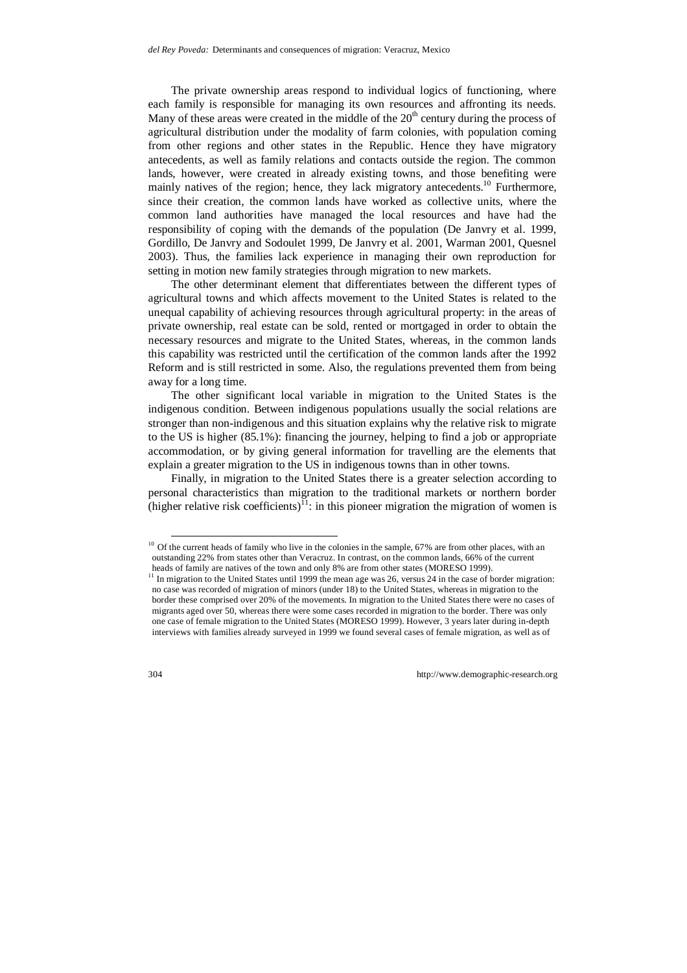The private ownership areas respond to individual logics of functioning, where each family is responsible for managing its own resources and affronting its needs. Many of these areas were created in the middle of the  $20<sup>th</sup>$  century during the process of agricultural distribution under the modality of farm colonies, with population coming from other regions and other states in the Republic. Hence they have migratory antecedents, as well as family relations and contacts outside the region. The common lands, however, were created in already existing towns, and those benefiting were mainly natives of the region; hence, they lack migratory antecedents.<sup>10</sup> Furthermore, since their creation, the common lands have worked as collective units, where the common land authorities have managed the local resources and have had the responsibility of coping with the demands of the population (De Janvry et al. 1999, Gordillo, De Janvry and Sodoulet 1999, De Janvry et al. 2001, Warman 2001, Quesnel 2003). Thus, the families lack experience in managing their own reproduction for setting in motion new family strategies through migration to new markets.

The other determinant element that differentiates between the different types of agricultural towns and which affects movement to the United States is related to the unequal capability of achieving resources through agricultural property: in the areas of private ownership, real estate can be sold, rented or mortgaged in order to obtain the necessary resources and migrate to the United States, whereas, in the common lands this capability was restricted until the certification of the common lands after the 1992 Reform and is still restricted in some. Also, the regulations prevented them from being away for a long time.

The other significant local variable in migration to the United States is the indigenous condition. Between indigenous populations usually the social relations are stronger than non-indigenous and this situation explains why the relative risk to migrate to the US is higher (85.1%): financing the journey, helping to find a job or appropriate accommodation, or by giving general information for travelling are the elements that explain a greater migration to the US in indigenous towns than in other towns.

Finally, in migration to the United States there is a greater selection according to personal characteristics than migration to the traditional markets or northern border (higher relative risk coefficients)<sup>11</sup>: in this pioneer migration the migration of women is

<sup>&</sup>lt;sup>10</sup> Of the current heads of family who live in the colonies in the sample, 67% are from other places, with an outstanding 22% from states other than Veracruz. In contrast, on the common lands, 66% of the current heads of family are natives of the town and only 8% are from other states (MORESO 1999).

<sup>&</sup>lt;sup>11</sup> In migration to the United States until 1999 the mean age was 26, versus 24 in the case of border migration: no case was recorded of migration of minors (under 18) to the United States, whereas in migration to the border these comprised over 20% of the movements. In migration to the United States there were no cases of migrants aged over 50, whereas there were some cases recorded in migration to the border. There was only one case of female migration to the United States (MORESO 1999). However, 3 years later during in-depth interviews with families already surveyed in 1999 we found several cases of female migration, as well as of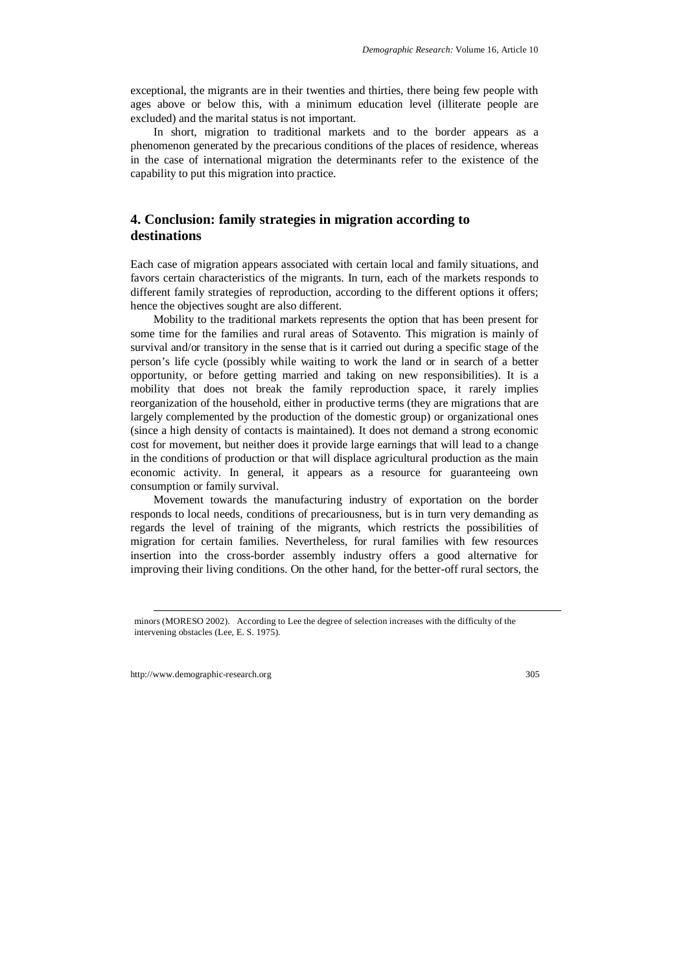exceptional, the migrants are in their twenties and thirties, there being few people with ages above or below this, with a minimum education level (illiterate people are excluded) and the marital status is not important.

In short, migration to traditional markets and to the border appears as a phenomenon generated by the precarious conditions of the places of residence, whereas in the case of international migration the determinants refer to the existence of the capability to put this migration into practice.

## **4. Conclusion: family strategies in migration according to destinations**

Each case of migration appears associated with certain local and family situations, and favors certain characteristics of the migrants. In turn, each of the markets responds to different family strategies of reproduction, according to the different options it offers; hence the objectives sought are also different.

Mobility to the traditional markets represents the option that has been present for some time for the families and rural areas of Sotavento. This migration is mainly of survival and/or transitory in the sense that is it carried out during a specific stage of the person's life cycle (possibly while waiting to work the land or in search of a better opportunity, or before getting married and taking on new responsibilities). It is a mobility that does not break the family reproduction space, it rarely implies reorganization of the household, either in productive terms (they are migrations that are largely complemented by the production of the domestic group) or organizational ones (since a high density of contacts is maintained). It does not demand a strong economic cost for movement, but neither does it provide large earnings that will lead to a change in the conditions of production or that will displace agricultural production as the main economic activity. In general, it appears as a resource for guaranteeing own consumption or family survival.

Movement towards the manufacturing industry of exportation on the border responds to local needs, conditions of precariousness, but is in turn very demanding as regards the level of training of the migrants, which restricts the possibilities of migration for certain families. Nevertheless, for rural families with few resources insertion into the cross-border assembly industry offers a good alternative for improving their living conditions. On the other hand, for the better-off rural sectors, the

minors (MORESO 2002). According to Lee the degree of selection increases with the difficulty of the intervening obstacles (Lee, E. S. 1975).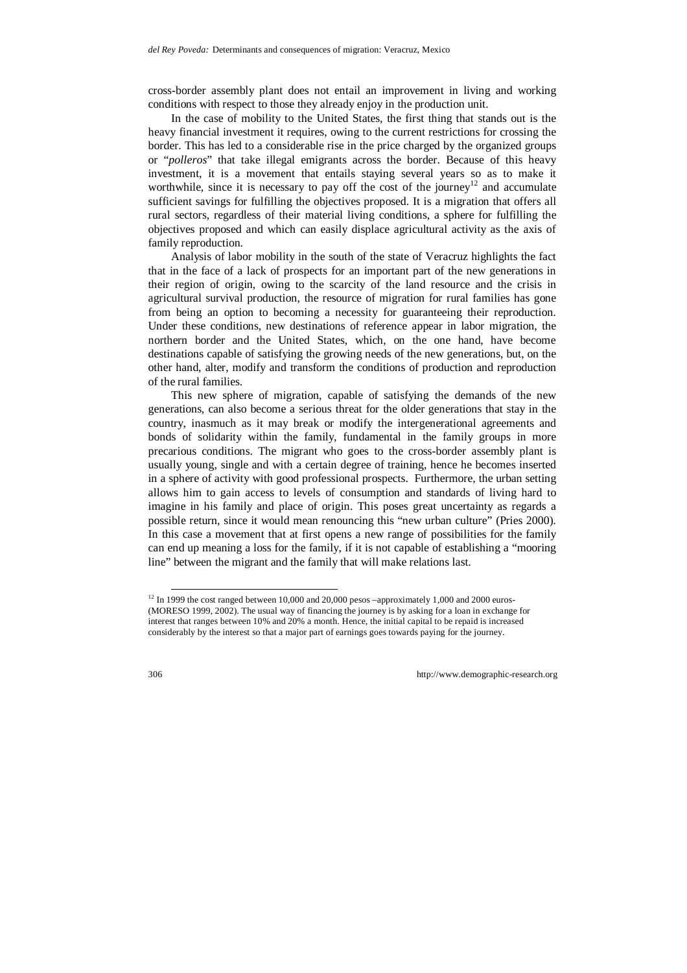cross-border assembly plant does not entail an improvement in living and working conditions with respect to those they already enjoy in the production unit.

In the case of mobility to the United States, the first thing that stands out is the heavy financial investment it requires, owing to the current restrictions for crossing the border. This has led to a considerable rise in the price charged by the organized groups or "*polleros*" that take illegal emigrants across the border. Because of this heavy investment, it is a movement that entails staying several years so as to make it worthwhile, since it is necessary to pay off the cost of the journey<sup>12</sup> and accumulate sufficient savings for fulfilling the objectives proposed. It is a migration that offers all rural sectors, regardless of their material living conditions, a sphere for fulfilling the objectives proposed and which can easily displace agricultural activity as the axis of family reproduction.

Analysis of labor mobility in the south of the state of Veracruz highlights the fact that in the face of a lack of prospects for an important part of the new generations in their region of origin, owing to the scarcity of the land resource and the crisis in agricultural survival production, the resource of migration for rural families has gone from being an option to becoming a necessity for guaranteeing their reproduction. Under these conditions, new destinations of reference appear in labor migration, the northern border and the United States, which, on the one hand, have become destinations capable of satisfying the growing needs of the new generations, but, on the other hand, alter, modify and transform the conditions of production and reproduction of the rural families.

This new sphere of migration, capable of satisfying the demands of the new generations, can also become a serious threat for the older generations that stay in the country, inasmuch as it may break or modify the intergenerational agreements and bonds of solidarity within the family, fundamental in the family groups in more precarious conditions. The migrant who goes to the cross-border assembly plant is usually young, single and with a certain degree of training, hence he becomes inserted in a sphere of activity with good professional prospects. Furthermore, the urban setting allows him to gain access to levels of consumption and standards of living hard to imagine in his family and place of origin. This poses great uncertainty as regards a possible return, since it would mean renouncing this "new urban culture" (Pries 2000). In this case a movement that at first opens a new range of possibilities for the family can end up meaning a loss for the family, if it is not capable of establishing a "mooring line" between the migrant and the family that will make relations last.

<sup>&</sup>lt;sup>12</sup> In 1999 the cost ranged between 10,000 and 20,000 pesos –approximately 1,000 and 2000 euros-(MORESO 1999, 2002). The usual way of financing the journey is by asking for a loan in exchange for interest that ranges between 10% and 20% a month. Hence, the initial capital to be repaid is increased considerably by the interest so that a major part of earnings goes towards paying for the journey.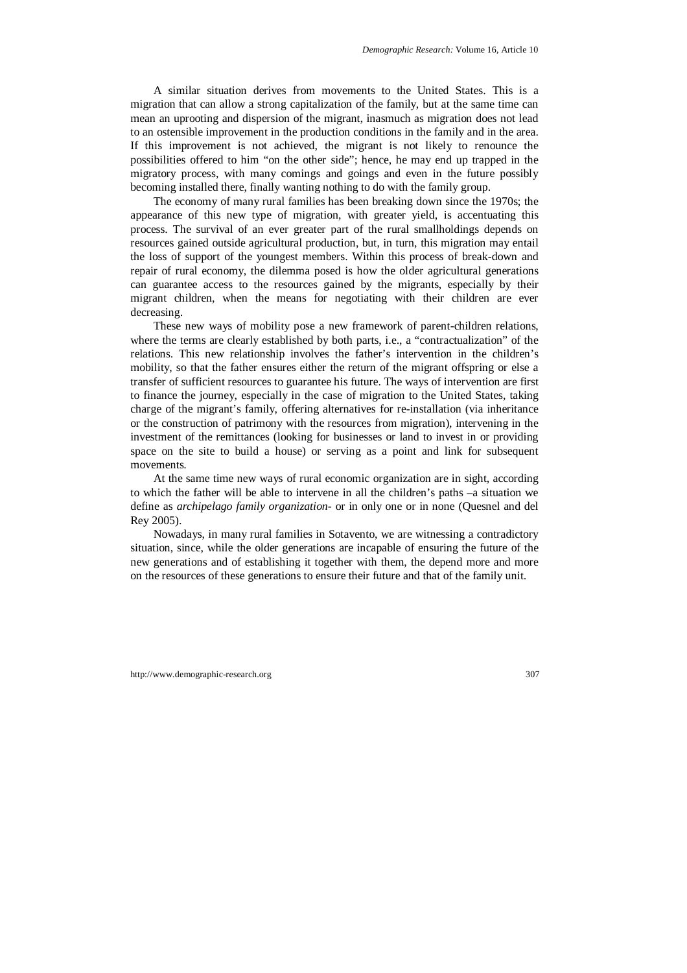A similar situation derives from movements to the United States. This is a migration that can allow a strong capitalization of the family, but at the same time can mean an uprooting and dispersion of the migrant, inasmuch as migration does not lead to an ostensible improvement in the production conditions in the family and in the area. If this improvement is not achieved, the migrant is not likely to renounce the possibilities offered to him "on the other side"; hence, he may end up trapped in the migratory process, with many comings and goings and even in the future possibly becoming installed there, finally wanting nothing to do with the family group.

The economy of many rural families has been breaking down since the 1970s; the appearance of this new type of migration, with greater yield, is accentuating this process. The survival of an ever greater part of the rural smallholdings depends on resources gained outside agricultural production, but, in turn, this migration may entail the loss of support of the youngest members. Within this process of break-down and repair of rural economy, the dilemma posed is how the older agricultural generations can guarantee access to the resources gained by the migrants, especially by their migrant children, when the means for negotiating with their children are ever decreasing.

These new ways of mobility pose a new framework of parent-children relations, where the terms are clearly established by both parts, i.e., a "contractualization" of the relations. This new relationship involves the father's intervention in the children's mobility, so that the father ensures either the return of the migrant offspring or else a transfer of sufficient resources to guarantee his future. The ways of intervention are first to finance the journey, especially in the case of migration to the United States, taking charge of the migrant's family, offering alternatives for re-installation (via inheritance or the construction of patrimony with the resources from migration), intervening in the investment of the remittances (looking for businesses or land to invest in or providing space on the site to build a house) or serving as a point and link for subsequent movements.

At the same time new ways of rural economic organization are in sight, according to which the father will be able to intervene in all the children's paths –a situation we define as *archipelago family organization*- or in only one or in none (Quesnel and del Rey 2005).

Nowadays, in many rural families in Sotavento, we are witnessing a contradictory situation, since, while the older generations are incapable of ensuring the future of the new generations and of establishing it together with them, the depend more and more on the resources of these generations to ensure their future and that of the family unit.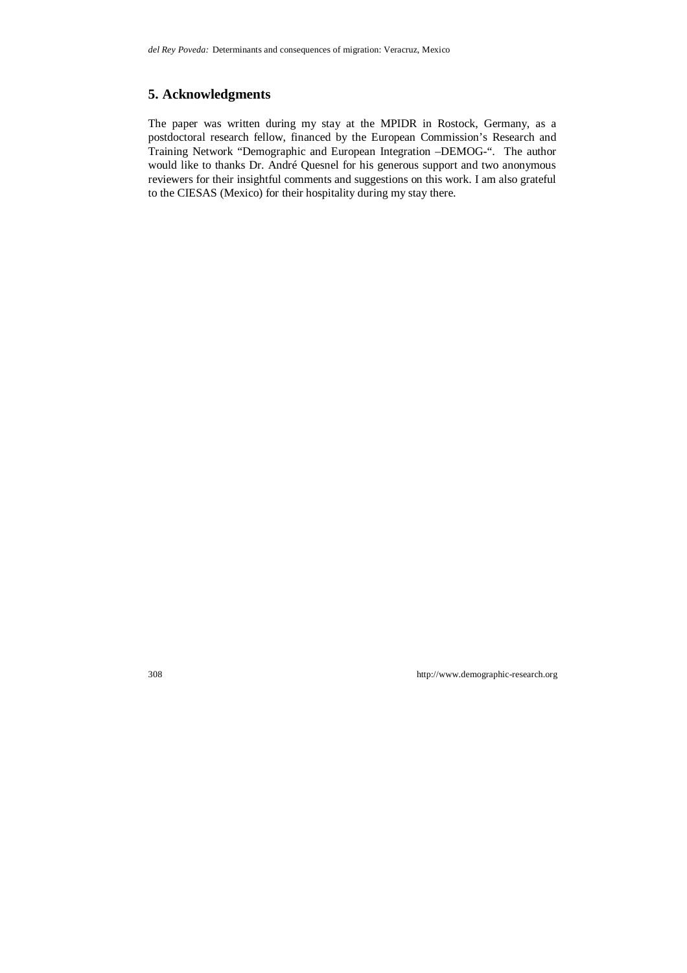# **5. Acknowledgments**

The paper was written during my stay at the MPIDR in Rostock, Germany, as a postdoctoral research fellow, financed by the European Commission's Research and Training Network "Demographic and European Integration –DEMOG-". The author would like to thanks Dr. André Quesnel for his generous support and two anonymous reviewers for their insightful comments and suggestions on this work. I am also grateful to the CIESAS (Mexico) for their hospitality during my stay there.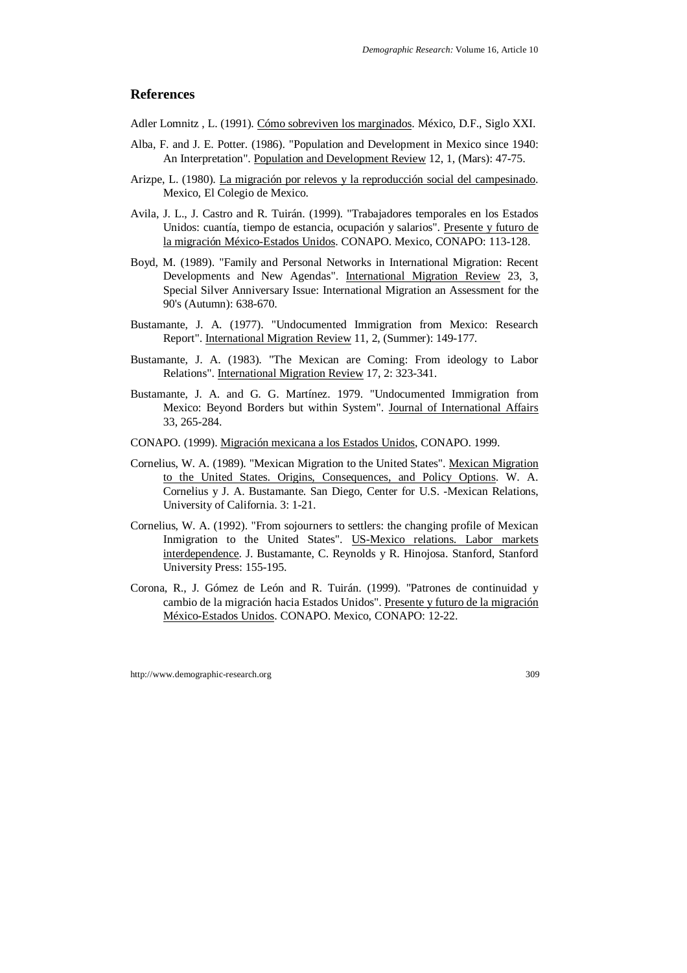### **References**

Adler Lomnitz , L. (1991). Cómo sobreviven los marginados. México, D.F., Siglo XXI.

- Alba, F. and J. E. Potter. (1986). "Population and Development in Mexico since 1940: An Interpretation". Population and Development Review 12, 1, (Mars): 47-75.
- Arizpe, L. (1980). La migración por relevos y la reproducción social del campesinado. Mexico, El Colegio de Mexico.
- Avila, J. L., J. Castro and R. Tuirán. (1999). "Trabajadores temporales en los Estados Unidos: cuantía, tiempo de estancia, ocupación y salarios". Presente y futuro de la migración México-Estados Unidos. CONAPO. Mexico, CONAPO: 113-128.
- Boyd, M. (1989). "Family and Personal Networks in International Migration: Recent Developments and New Agendas". International Migration Review 23, 3, Special Silver Anniversary Issue: International Migration an Assessment for the 90's (Autumn): 638-670.
- Bustamante, J. A. (1977). "Undocumented Immigration from Mexico: Research Report". International Migration Review 11, 2, (Summer): 149-177.
- Bustamante, J. A. (1983). "The Mexican are Coming: From ideology to Labor Relations". International Migration Review 17, 2: 323-341.
- Bustamante, J. A. and G. G. Martínez. 1979. "Undocumented Immigration from Mexico: Beyond Borders but within System". Journal of International Affairs 33, 265-284.
- CONAPO. (1999). Migración mexicana a los Estados Unidos, CONAPO. 1999.
- Cornelius, W. A. (1989). "Mexican Migration to the United States". Mexican Migration to the United States. Origins, Consequences, and Policy Options. W. A. Cornelius y J. A. Bustamante. San Diego, Center for U.S. -Mexican Relations, University of California. 3: 1-21.
- Cornelius, W. A. (1992). "From sojourners to settlers: the changing profile of Mexican Inmigration to the United States". US-Mexico relations. Labor markets interdependence. J. Bustamante, C. Reynolds y R. Hinojosa. Stanford, Stanford University Press: 155-195.
- Corona, R., J. Gómez de León and R. Tuirán. (1999). "Patrones de continuidad y cambio de la migración hacia Estados Unidos". Presente y futuro de la migración México-Estados Unidos. CONAPO. Mexico, CONAPO: 12-22.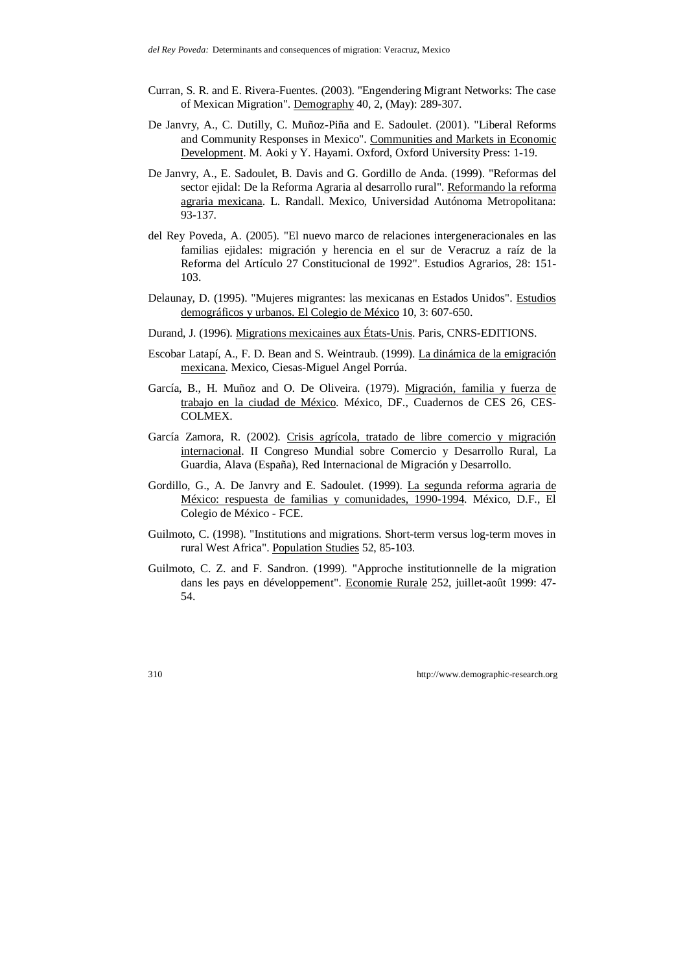- Curran, S. R. and E. Rivera-Fuentes. (2003). "Engendering Migrant Networks: The case of Mexican Migration". Demography 40, 2, (May): 289-307.
- De Janvry, A., C. Dutilly, C. Muñoz-Piña and E. Sadoulet. (2001). "Liberal Reforms and Community Responses in Mexico". Communities and Markets in Economic Development. M. Aoki y Y. Hayami. Oxford, Oxford University Press: 1-19.
- De Janvry, A., E. Sadoulet, B. Davis and G. Gordillo de Anda. (1999). "Reformas del sector ejidal: De la Reforma Agraria al desarrollo rural". Reformando la reforma agraria mexicana. L. Randall. Mexico, Universidad Autónoma Metropolitana: 93-137.
- del Rey Poveda, A. (2005). "El nuevo marco de relaciones intergeneracionales en las familias ejidales: migración y herencia en el sur de Veracruz a raíz de la Reforma del Artículo 27 Constitucional de 1992". Estudios Agrarios, 28: 151- 103.
- Delaunay, D. (1995). "Mujeres migrantes: las mexicanas en Estados Unidos". Estudios demográficos y urbanos. El Colegio de México 10, 3: 607-650.
- Durand, J. (1996). Migrations mexicaines aux États-Unis. Paris, CNRS-EDITIONS.
- Escobar Latapí, A., F. D. Bean and S. Weintraub. (1999). La dinámica de la emigración mexicana. Mexico, Ciesas-Miguel Angel Porrúa.
- García, B., H. Muñoz and O. De Oliveira. (1979). Migración, familia y fuerza de trabajo en la ciudad de México. México, DF., Cuadernos de CES 26, CES-COLMEX.
- García Zamora, R. (2002). Crisis agrícola, tratado de libre comercio y migración internacional. II Congreso Mundial sobre Comercio y Desarrollo Rural, La Guardia, Alava (España), Red Internacional de Migración y Desarrollo.
- Gordillo, G., A. De Janvry and E. Sadoulet. (1999). La segunda reforma agraria de México: respuesta de familias y comunidades, 1990-1994. México, D.F., El Colegio de México - FCE.
- Guilmoto, C. (1998). "Institutions and migrations. Short-term versus log-term moves in rural West Africa". Population Studies 52, 85-103.
- Guilmoto, C. Z. and F. Sandron. (1999). "Approche institutionnelle de la migration dans les pays en développement". Economie Rurale 252, juillet-août 1999: 47- 54.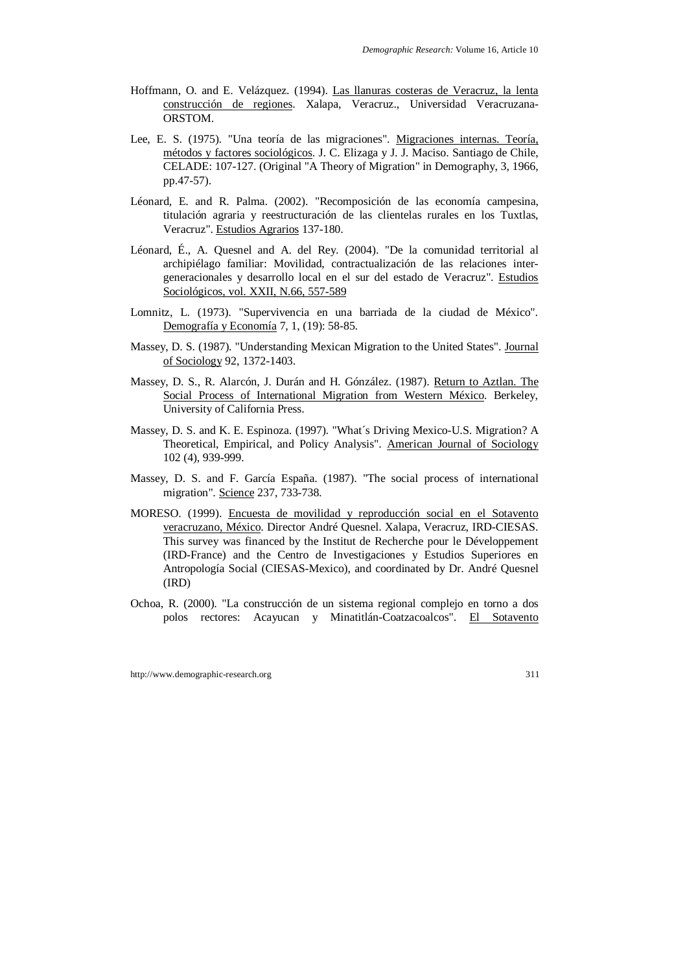- Hoffmann, O. and E. Velázquez. (1994). Las llanuras costeras de Veracruz, la lenta construcción de regiones. Xalapa, Veracruz., Universidad Veracruzana-ORSTOM.
- Lee, E. S. (1975). "Una teoría de las migraciones". Migraciones internas. Teoría, métodos y factores sociológicos. J. C. Elizaga y J. J. Maciso. Santiago de Chile, CELADE: 107-127. (Original "A Theory of Migration" in Demography, 3, 1966, pp.47-57).
- Léonard, E. and R. Palma. (2002). "Recomposición de las economía campesina, titulación agraria y reestructuración de las clientelas rurales en los Tuxtlas, Veracruz". Estudios Agrarios 137-180.
- Léonard, É., A. Quesnel and A. del Rey. (2004). "De la comunidad territorial al archipiélago familiar: Movilidad, contractualización de las relaciones intergeneracionales y desarrollo local en el sur del estado de Veracruz". Estudios Sociológicos, vol. XXII, N.66, 557-589
- Lomnitz, L. (1973). "Supervivencia en una barriada de la ciudad de México". Demografía y Economía 7, 1, (19): 58-85.
- Massey, D. S. (1987). "Understanding Mexican Migration to the United States". Journal of Sociology 92, 1372-1403.
- Massey, D. S., R. Alarcón, J. Durán and H. Gónzález. (1987). Return to Aztlan. The Social Process of International Migration from Western México. Berkeley, University of California Press.
- Massey, D. S. and K. E. Espinoza. (1997). "What´s Driving Mexico-U.S. Migration? A Theoretical, Empirical, and Policy Analysis". American Journal of Sociology 102 (4), 939-999.
- Massey, D. S. and F. García España. (1987). "The social process of international migration". Science 237, 733-738.
- MORESO. (1999). Encuesta de movilidad y reproducción social en el Sotavento veracruzano, México. Director André Quesnel. Xalapa, Veracruz, IRD-CIESAS. This survey was financed by the Institut de Recherche pour le Développement (IRD-France) and the Centro de Investigaciones y Estudios Superiores en Antropología Social (CIESAS-Mexico), and coordinated by Dr. André Quesnel (IRD)
- Ochoa, R. (2000). "La construcción de un sistema regional complejo en torno a dos polos rectores: Acayucan y Minatitlán-Coatzacoalcos". El Sotavento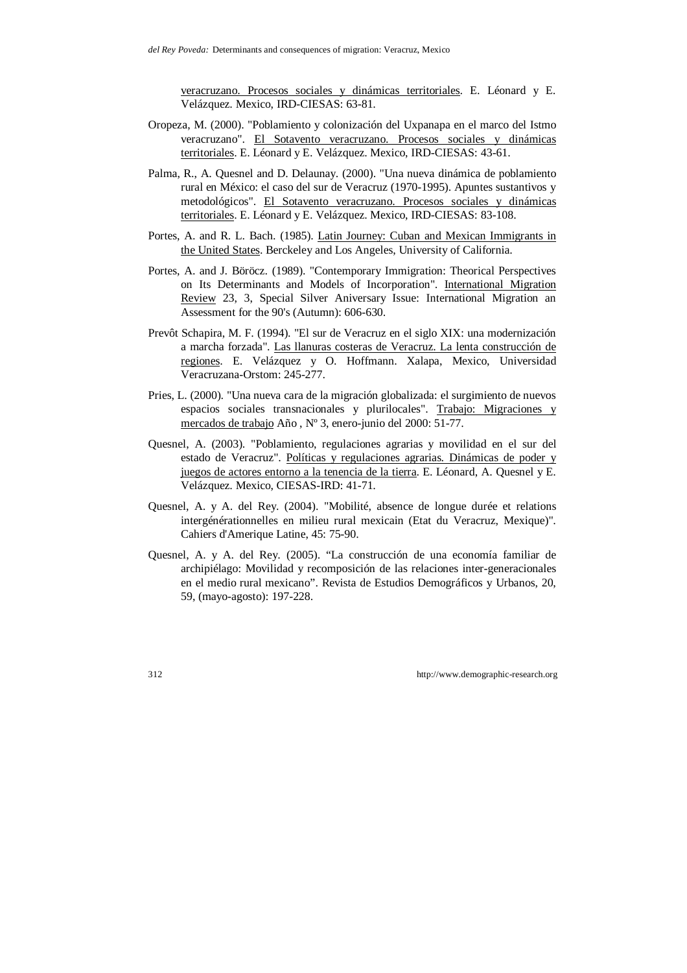veracruzano. Procesos sociales y dinámicas territoriales. E. Léonard y E. Velázquez. Mexico, IRD-CIESAS: 63-81.

- Oropeza, M. (2000). "Poblamiento y colonización del Uxpanapa en el marco del Istmo veracruzano". El Sotavento veracruzano. Procesos sociales y dinámicas territoriales. E. Léonard y E. Velázquez. Mexico, IRD-CIESAS: 43-61.
- Palma, R., A. Quesnel and D. Delaunay. (2000). "Una nueva dinámica de poblamiento rural en México: el caso del sur de Veracruz (1970-1995). Apuntes sustantivos y metodológicos". El Sotavento veracruzano. Procesos sociales y dinámicas territoriales. E. Léonard y E. Velázquez. Mexico, IRD-CIESAS: 83-108.
- Portes, A. and R. L. Bach. (1985). Latin Journey: Cuban and Mexican Immigrants in the United States. Berckeley and Los Angeles, University of California.
- Portes, A. and J. Böröcz. (1989). "Contemporary Immigration: Theorical Perspectives on Its Determinants and Models of Incorporation". International Migration Review 23, 3, Special Silver Aniversary Issue: International Migration an Assessment for the 90's (Autumn): 606-630.
- Prevôt Schapira, M. F. (1994). "El sur de Veracruz en el siglo XIX: una modernización a marcha forzada". Las llanuras costeras de Veracruz. La lenta construcción de regiones. E. Velázquez y O. Hoffmann. Xalapa, Mexico, Universidad Veracruzana-Orstom: 245-277.
- Pries, L. (2000). "Una nueva cara de la migración globalizada: el surgimiento de nuevos espacios sociales transnacionales y plurilocales". Trabajo: Migraciones y mercados de trabajo Año , Nº 3, enero-junio del 2000: 51-77.
- Quesnel, A. (2003). "Poblamiento, regulaciones agrarias y movilidad en el sur del estado de Veracruz". Políticas y regulaciones agrarias. Dinámicas de poder y juegos de actores entorno a la tenencia de la tierra. E. Léonard, A. Quesnel y E. Velázquez. Mexico, CIESAS-IRD: 41-71.
- Quesnel, A. y A. del Rey. (2004). "Mobilité, absence de longue durée et relations intergénérationnelles en milieu rural mexicain (Etat du Veracruz, Mexique)". Cahiers d'Amerique Latine, 45: 75-90.
- Quesnel, A. y A. del Rey. (2005). "La construcción de una economía familiar de archipiélago: Movilidad y recomposición de las relaciones inter-generacionales en el medio rural mexicano". Revista de Estudios Demográficos y Urbanos, 20, 59, (mayo-agosto): 197-228.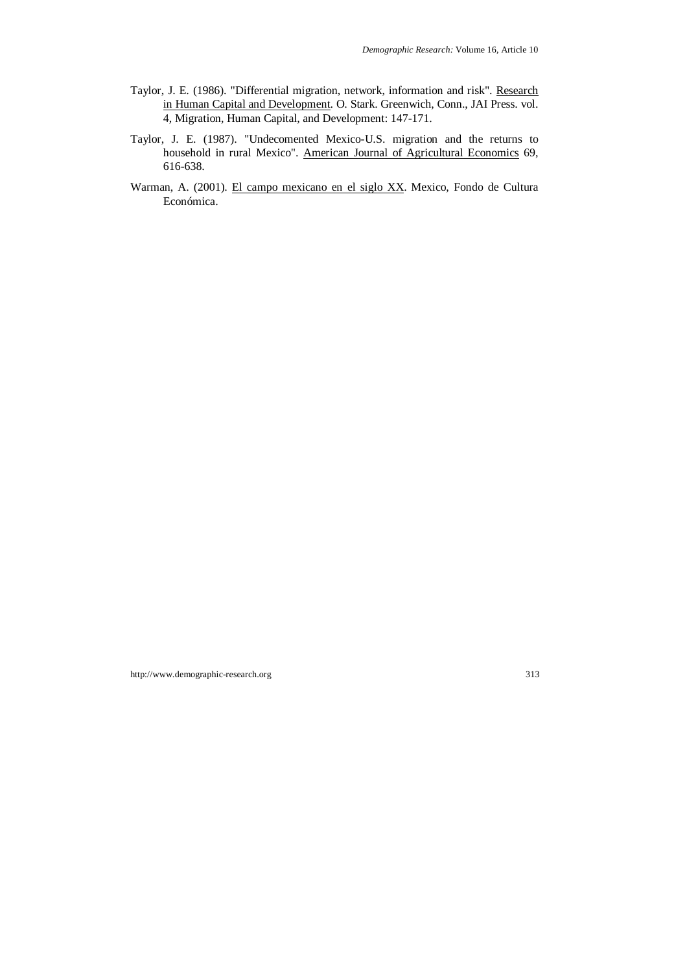- Taylor, J. E. (1986). "Differential migration, network, information and risk". Research in Human Capital and Development. O. Stark. Greenwich, Conn., JAI Press. vol. 4, Migration, Human Capital, and Development: 147-171.
- Taylor, J. E. (1987). "Undecomented Mexico-U.S. migration and the returns to household in rural Mexico". American Journal of Agricultural Economics 69, 616-638.
- Warman, A. (2001). El campo mexicano en el siglo XX. Mexico, Fondo de Cultura Económica.